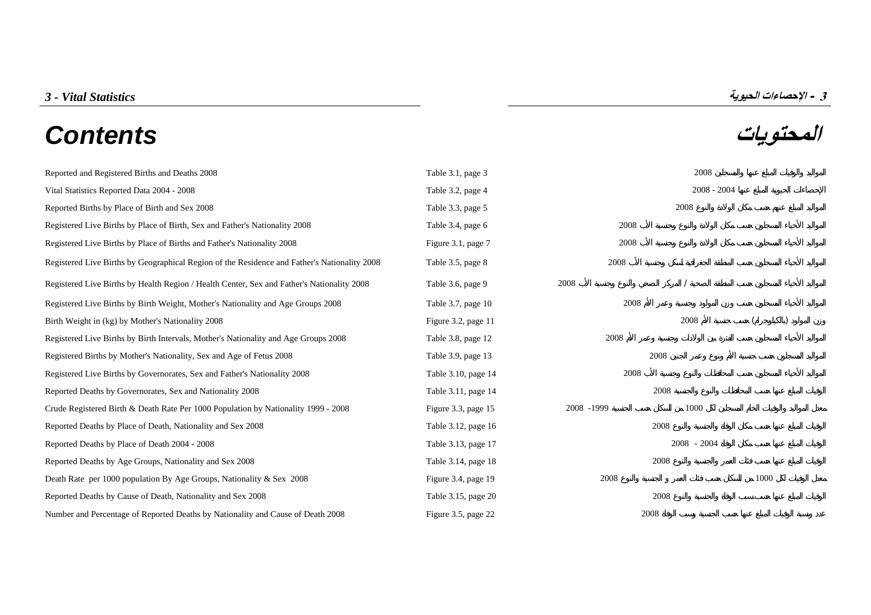# **المحتويات** *Contents*



| Reported and Registered Births and Deaths 2008                                               | Table 3.1, page 3    |            | 2008          |      |  |
|----------------------------------------------------------------------------------------------|----------------------|------------|---------------|------|--|
| Vital Statistics Reported Data 2004 - 2008                                                   | Table 3.2, page 4    |            | $2008 - 2004$ |      |  |
| Reported Births by Place of Birth and Sex 2008                                               | Table 3.3, page 5    |            | 2008          |      |  |
| Registered Live Births by Place of Birth, Sex and Father's Nationality 2008                  | Table 3.4, page 6    | 2008       |               |      |  |
| Registered Live Births by Place of Births and Father's Nationality 2008                      | Figure 3.1, page 7   | 2008       |               |      |  |
| Registered Live Births by Geographical Region of the Residence and Father's Nationality 2008 | Table 3.5, page 8    | 2008       |               |      |  |
| Registered Live Births by Health Region / Health Center, Sex and Father's Nationality 2008   | Table 3.6, page 9    | 2008       |               |      |  |
| Registered Live Births by Birth Weight, Mother's Nationality and Age Groups 2008             | Table 3.7, page $10$ | 2008       |               |      |  |
| Birth Weight in (kg) by Mother's Nationality 2008                                            | Figure 3.2, page 11  |            | 2008          |      |  |
| Registered Live Births by Birth Intervals, Mother's Nationality and Age Groups 2008          | Table 3.8, page 12   | 2008       |               |      |  |
| Registered Births by Mother's Nationality, Sex and Age of Fetus 2008                         | Table 3.9, page 13   |            | 2008          |      |  |
| Registered Live Births by Governorates, Sex and Father's Nationality 2008                    | Table 3.10, page 14  | 2008       |               |      |  |
| Reported Deaths by Governorates, Sex and Nationality 2008                                    | Table 3.11, page 14  |            | 2008          |      |  |
| Crude Registered Birth & Death Rate Per 1000 Population by Nationality 1999 - 2008           | Figure 3.3, page 15  | 2008 -1999 | 1000          |      |  |
| Reported Deaths by Place of Death, Nationality and Sex 2008                                  | Table 3.12, page 16  |            | 2008          |      |  |
| Reported Deaths by Place of Death 2004 - 2008                                                | Table 3.13, page 17  |            | 2008 - 2004   |      |  |
| Reported Deaths by Age Groups, Nationality and Sex 2008                                      | Table 3.14, page 18  |            | 2008          |      |  |
| Death Rate per 1000 population By Age Groups, Nationality & Sex 2008                         | Figure 3.4, page 19  | 2008       |               | 1000 |  |
| Reported Deaths by Cause of Death, Nationality and Sex 2008                                  | Table 3.15, page 20  |            | 2008          |      |  |
| Number and Percentage of Reported Deaths by Nationality and Cause of Death 2008              | Figure 3.5, page 22  |            | 2008          |      |  |

**3 - الإحصاءات الحيوية** *Statistics Vital - 3*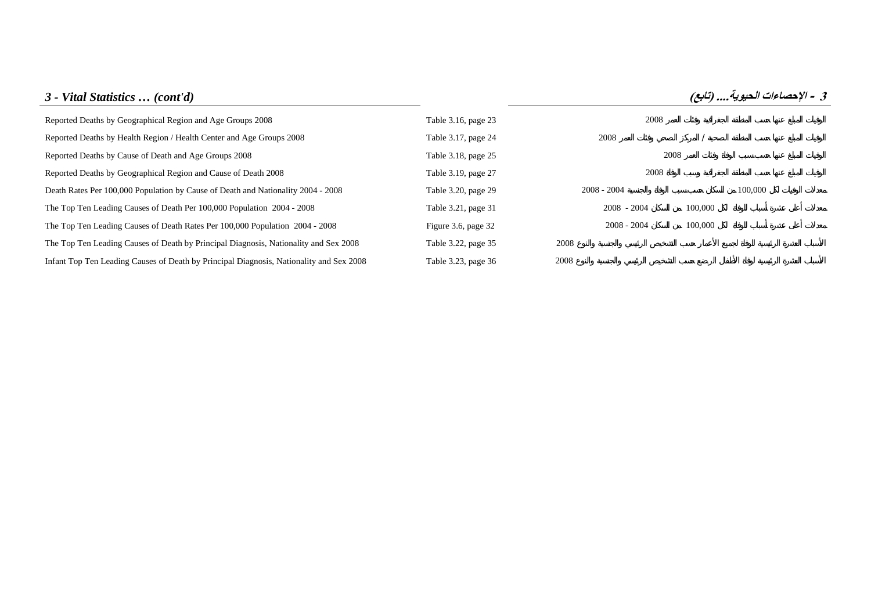# *3 - Vital Statistics … (cont'd)* **(تابع (....الحيوية الإحصاءات - <sup>3</sup>** [Reported Deaths by Geographical Region and Age Groups 2008 Table 3.16, page 23 2008](#page-23-0) [Reported Deaths by Health Region / Health Center and Age Groups 2008 Table 3.17, page 24 2008](#page-24-0) 2008 / [Reported Deaths by Cause of Death and Age Groups 2008 Table 3.18, page 25 2008](#page-25-0) Table 3.18, page 25 [Reported Deaths by Geographical Region and Cause of Death 2008 Table 3.19, page 27 2008](#page-27-0) [Death Rates Per 100,000 Population by Cause of Death and Nationality 2004 - 2008 Table 3.20, page 29 2008](#page-29-0) - 2008 - 2004 100,000 2008 - 2004 [The Top Ten Leading Causes of Death Per 100,000 Population 2004 - 2008 Table 3.21, page 31 2008](#page-31-0) - 2008 - 2004 100,000 [The Top Ten Leading Causes of Death Rates Per 100,000 Population 2004 - 2008 Figure 3.6, page 32 2008](#page-32-0) - 2008 - 2004 100,000 [The Top Ten Leading Causes of Death by Principal Diagnosis, Nationality and Sex 2008 Table 3.22, page 35 2008](#page-35-0) [Infant Top Ten Leading Causes of Death by Principal Diagnosis, Nationality and Sex 2008 Table 3.23, page 36 2008](#page-36-0)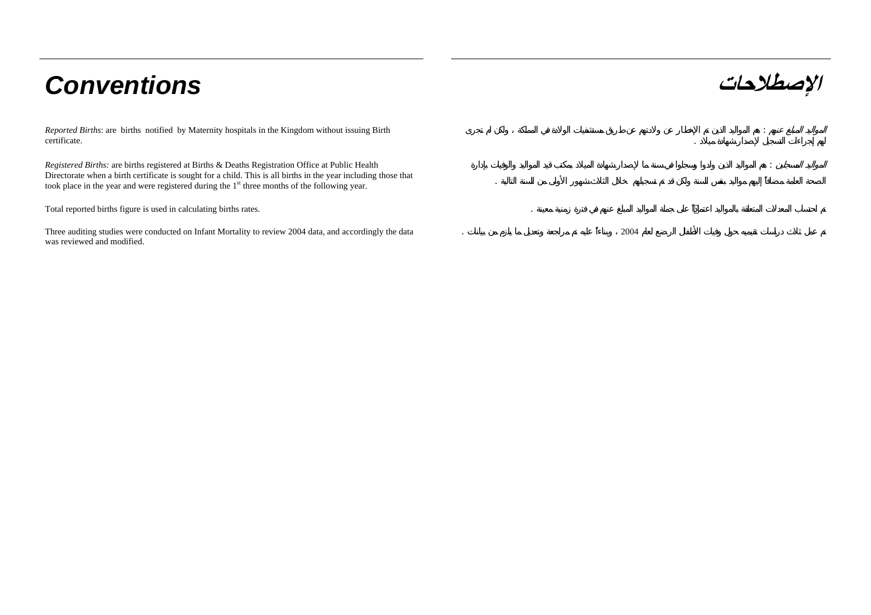# **الإصطلاحات** *Conventions*

*Reported Births*: are births notified by Maternity hospitals in the Kingdom without issuing Birth certificate.

*Registered Births:* are births registered at Births & Deaths Registration Office at Public Health Directorate when a birth certificate is sought for a child. This is all births in the year including those that took place in the year and were registered during the 1<sup>st</sup> three months of the following year.

Total reported births figure is used in calculating births rates. .

Three auditing studies were conducted on Infant Mortality to review 2004 data, and accordingly the data was reviewed and modified.

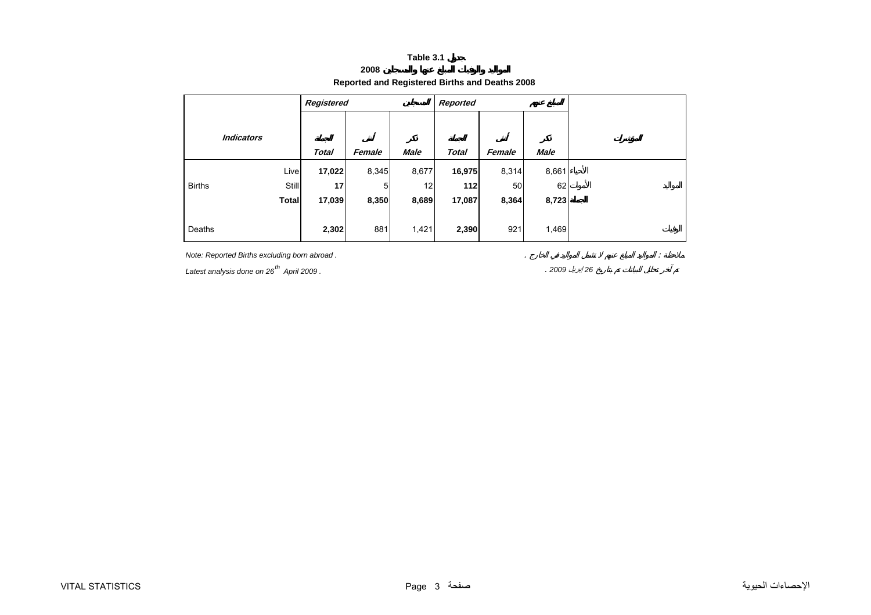## **2008 Reported and Registered Births and Deaths 2008**

<span id="page-3-0"></span>

|               |                   | Registered   |        |             | Reported     |        |       |
|---------------|-------------------|--------------|--------|-------------|--------------|--------|-------|
|               | <b>Indicators</b> |              |        |             |              |        |       |
|               |                   | <b>Total</b> | Female | <b>Male</b> | <b>Total</b> | Female | Male  |
|               | Live              | 17,022       | 8,345  | 8,677       | 16,975       | 8,314  | 8,661 |
| <b>Births</b> | <b>Still</b>      | 17           | 5      | 12          | 112          | 50     | 62    |
|               | <b>Total</b>      | 17,039       | 8,350  | 8,689       | 17,087       | 8,364  | 8,723 |
|               |                   |              |        |             |              |        |       |
| Deaths        |                   | 2,302        | 881    | 1,421       | 2,390        | 921    | 1,469 |

*Note: Reported Births excluding born abroad .* . :

*Latest analysis done on 26th April 2009 .* . *<sup>2009</sup>* إبريل *<sup>26</sup>*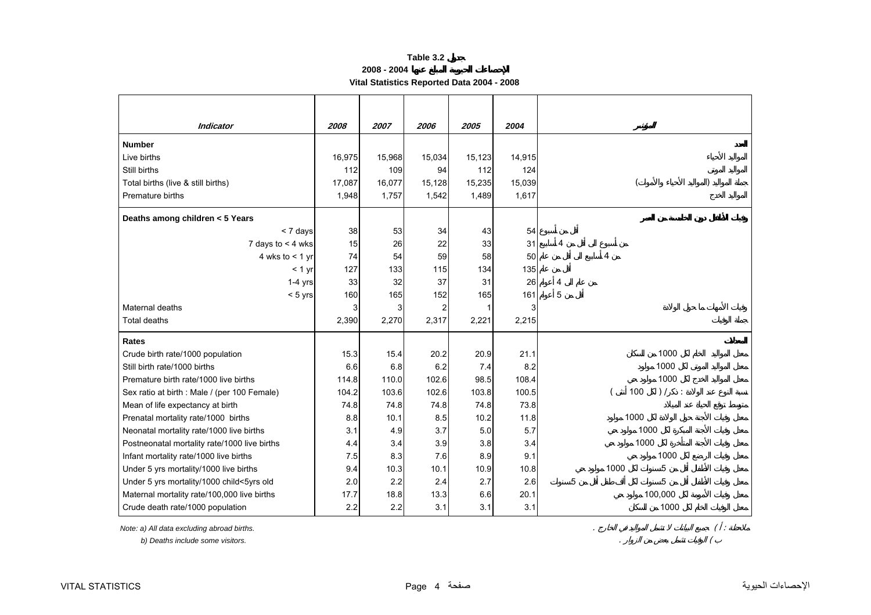**2008 - 2004**

**Vital Statistics Reported Data 2004 - 2008** 

<span id="page-4-0"></span>

| <b>Indicator</b>                             | 2008   | 2007   | 2006           | 2005   | 2004   |   |      |                       |  |
|----------------------------------------------|--------|--------|----------------|--------|--------|---|------|-----------------------|--|
| <b>Number</b>                                |        |        |                |        |        |   |      |                       |  |
| Live births                                  | 16,975 | 15,968 | 15,034         | 15,123 | 14,915 |   |      |                       |  |
| Still births                                 | 112    | 109    | 94             | 112    | 124    |   |      |                       |  |
| Total births (live & still births)           | 17,087 | 16,077 | 15,128         | 15,235 | 15,039 |   |      |                       |  |
| Premature births                             | 1,948  | 1,757  | 1,542          | 1,489  | 1,617  |   |      |                       |  |
| Deaths among children < 5 Years              |        |        |                |        |        |   |      |                       |  |
| < 7 days                                     | 38     | 53     | 34             | 43     | 54     |   |      |                       |  |
| 7 days to $<$ 4 wks                          | 15     | 26     | 22             | 33     | 31     | 4 |      |                       |  |
| 4 wks to $<$ 1 yr                            | 74     | 54     | 59             | 58     | 50     |   | 4    |                       |  |
| $< 1$ yr                                     | 127    | 133    | 115            | 134    | 135    |   |      |                       |  |
| $1-4$ yrs                                    | 33     | 32     | 37             | 31     | 26     | 4 |      |                       |  |
| $< 5$ yrs                                    | 160    | 165    | 152            | 165    | 161    | 5 |      |                       |  |
| Maternal deaths                              |        | 3      | $\overline{c}$ | 1      | 3      |   |      |                       |  |
| <b>Total deaths</b>                          | 2,390  | 2,270  | 2,317          | 2,221  | 2,215  |   |      |                       |  |
| <b>Rates</b>                                 |        |        |                |        |        |   |      |                       |  |
| Crude birth rate/1000 population             | 15.3   | 15.4   | 20.2           | 20.9   | 21.1   |   |      | 1000                  |  |
| Still birth rate/1000 births                 | 6.6    | 6.8    | 6.2            | 7.4    | 8.2    |   |      | 1000                  |  |
| Premature birth rate/1000 live births        | 114.8  | 110.0  | 102.6          | 98.5   | 108.4  |   |      | 1000                  |  |
| Sex ratio at birth : Male / (per 100 Female) | 104.2  | 103.6  | 102.6          | 103.8  | 100.5  |   | 100  | ) /<br>$\ddot{\cdot}$ |  |
| Mean of life expectancy at birth             | 74.8   | 74.8   | 74.8           | 74.8   | 73.8   |   |      |                       |  |
| Prenatal mortality rate/1000 births          | 8.8    | 10.1   | 8.5            | 10.2   | 11.8   |   | 1000 |                       |  |
| Neonatal mortality rate/1000 live births     | 3.1    | 4.9    | 3.7            | 5.0    | 5.7    |   | 1000 |                       |  |
| Postneonatal mortality rate/1000 live births | 4.4    | 3.4    | 3.9            | 3.8    | 3.4    |   | 1000 |                       |  |
| Infant mortality rate/1000 live births       | 7.5    | 8.3    | 7.6            | 8.9    | 9.1    |   |      | 1000                  |  |
| Under 5 yrs mortality/1000 live births       | 9.4    | 10.3   | 10.1           | 10.9   | 10.8   |   | 1000 | 5                     |  |
| Under 5 yrs mortality/1000 child<5yrs old    | 2.0    | 2.2    | 2.4            | 2.7    | 2.6    | 5 |      | 5                     |  |
| Maternal mortality rate/100,000 live births  | 17.7   | 18.8   | 13.3           | 6.6    | 20.1   |   |      | 100,000               |  |
| Crude death rate/1000 population             | 2.2    | 2.2    | 3.1            | 3.1    | 3.1    |   |      | 1000                  |  |

*Note: a) All data excluding abroad births.* . ( :

 *b) Deaths include some visitors.* . (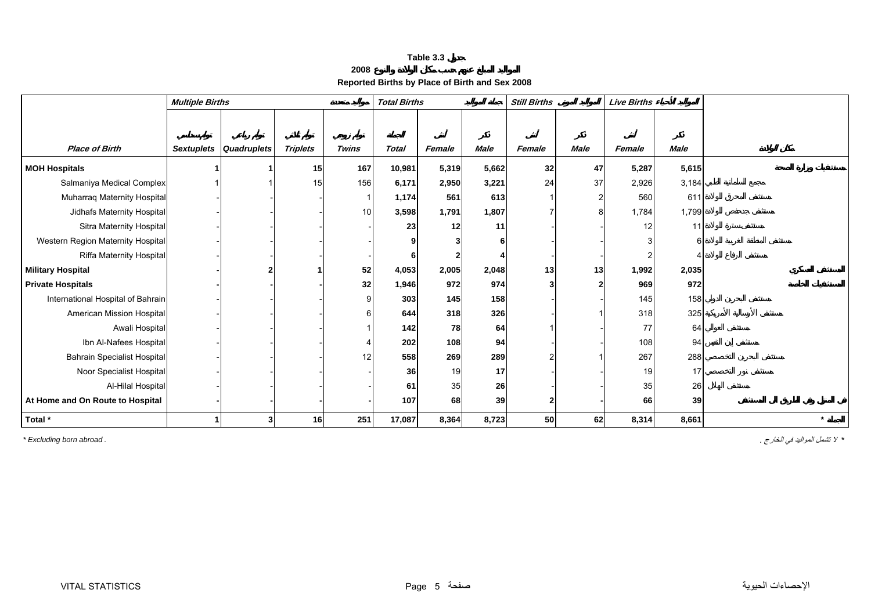**2008**

# **Reported Births by Place of Birth and Sex 2008**

<span id="page-5-0"></span>

|                                    | <b>Multiple Births</b> |                        |                 |              | <b>Total Births</b> |        |             | <b>Still Births</b> |             | <b>Live Births</b> |             |         |
|------------------------------------|------------------------|------------------------|-----------------|--------------|---------------------|--------|-------------|---------------------|-------------|--------------------|-------------|---------|
|                                    |                        |                        |                 |              |                     |        |             |                     |             |                    |             |         |
|                                    |                        |                        |                 |              |                     |        |             |                     |             |                    |             |         |
| <b>Place of Birth</b>              |                        | Sextuplets Quadruplets | <b>Triplets</b> | <b>Twins</b> | <b>Total</b>        | Female | <b>Male</b> | Female              | <b>Male</b> | Female             | <b>Male</b> |         |
| <b>MOH Hospitals</b>               |                        |                        | 15              | 167          | 10,981              | 5,319  | 5,662       | 32                  | 47          | 5,287              | 5,615       |         |
| Salmaniya Medical Complex          |                        |                        | 15              | 156          | 6,171               | 2,950  | 3,221       | 24                  | 37          | 2,926              | 3,184       |         |
| Muharraq Maternity Hospital        |                        |                        |                 |              | 1,174               | 561    | 613         |                     | 2           | 560                | 611         |         |
| Jidhafs Maternity Hospital         |                        |                        |                 | 10           | 3,598               | 1,791  | 1,807       |                     |             | 1,784              | 1,799       |         |
| Sitra Maternity Hospital           |                        |                        |                 |              | 23                  | 12     | 11          |                     |             | 12                 | 11          |         |
| Western Region Maternity Hospital  |                        |                        |                 |              |                     |        |             |                     |             |                    |             |         |
| Riffa Maternity Hospital           |                        |                        |                 |              |                     |        |             |                     |             |                    |             |         |
| <b>Military Hospital</b>           |                        |                        |                 | 52           | 4,053               | 2,005  | 2,048       | 13                  | 13          | 1,992              | 2,035       |         |
| <b>Private Hospitals</b>           |                        |                        |                 | 32           | 1,946               | 972    | 974         |                     | 2           | 969                | 972         |         |
| International Hospital of Bahrain  |                        |                        |                 |              | 303                 | 145    | 158         |                     |             | 145                | 158         |         |
| American Mission Hospital          |                        |                        |                 |              | 644                 | 318    | 326         |                     |             | 318                | 325         |         |
| Awali Hospital                     |                        |                        |                 |              | 142                 | 78     | 64          |                     |             | 77                 | 64          |         |
| Ibn Al-Nafees Hospital             |                        |                        |                 |              | 202                 | 108    | 94          |                     |             | 108                | 94          |         |
| <b>Bahrain Specialist Hospital</b> |                        |                        |                 | 12           | 558                 | 269    | 289         |                     |             | 267                | 288         |         |
| Noor Specialist Hospital           |                        |                        |                 |              | 36                  | 19     | 17          |                     |             | 19                 | 17          |         |
| Al-Hilal Hospital                  |                        |                        |                 |              | 61                  | 35     | 26          |                     |             | 35                 | 26          |         |
| At Home and On Route to Hospital   |                        |                        |                 |              | 107                 | 68     | 39          |                     |             | 66                 | 39          |         |
| Total *                            |                        | 3                      | 16              | 251          | 17,087              | 8,364  | 8,723       | 50                  | 62          | 8,314              | 8,661       | $\star$ |

*\** لا تشمل المواليد في الخارج . *. abroad born Excluding\**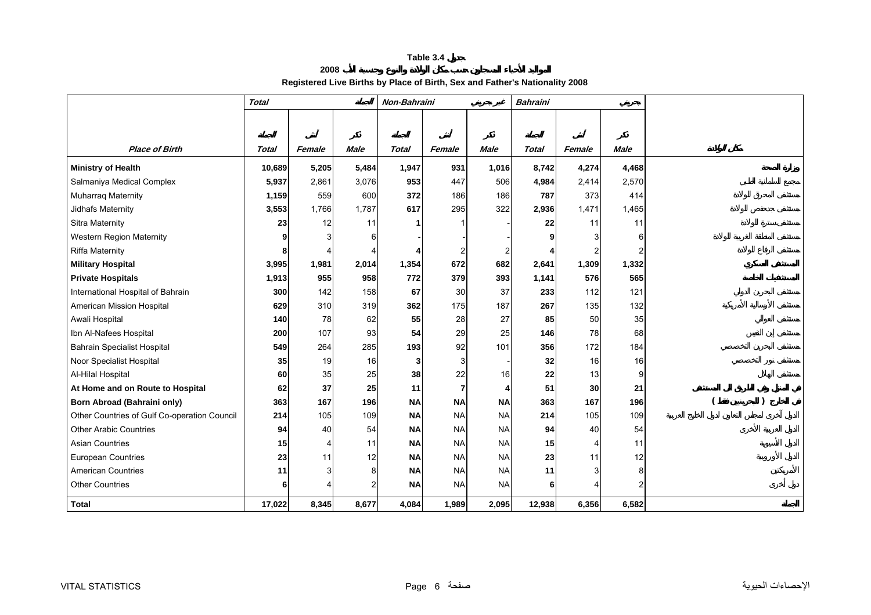## **2008 Registered Live Births by Place of Birth, Sex and Father's Nationality 2008**

<span id="page-6-0"></span>

|                                              | <b>Total</b> |        |                | Non-Bahraini |                |             | <b>Bahraini</b> |        |             |  |
|----------------------------------------------|--------------|--------|----------------|--------------|----------------|-------------|-----------------|--------|-------------|--|
|                                              |              |        |                |              |                |             |                 |        |             |  |
|                                              |              |        |                |              |                |             |                 |        |             |  |
| <b>Place of Birth</b>                        | <b>Total</b> | Female | <b>Male</b>    | <b>Total</b> | Female         | <b>Male</b> | <b>Total</b>    | Female | <b>Male</b> |  |
| <b>Ministry of Health</b>                    | 10,689       | 5,205  | 5,484          | 1,947        | 931            | 1,016       | 8,742           | 4,274  | 4,468       |  |
| Salmaniya Medical Complex                    | 5,937        | 2,861  | 3,076          | 953          | 447            | 506         | 4,984           | 2,414  | 2,570       |  |
| <b>Muharraq Maternity</b>                    | 1,159        | 559    | 600            | 372          | 186            | 186         | 787             | 373    | 414         |  |
| Jidhafs Maternity                            | 3,553        | 1,766  | 1,787          | 617          | 295            | 322         | 2,936           | 1,471  | 1,465       |  |
| Sitra Maternity                              | 23           | 12     | 11             |              |                |             | 22              | 11     | 11          |  |
| Western Region Maternity                     | 9            | 3      | 6              |              |                |             | g               |        | 6           |  |
| <b>Riffa Maternity</b>                       | 8            |        |                |              | 2              | 2           |                 |        |             |  |
| <b>Military Hospital</b>                     | 3,995        | 1,981  | 2,014          | 1,354        | 672            | 682         | 2,641           | 1,309  | 1,332       |  |
| <b>Private Hospitals</b>                     | 1,913        | 955    | 958            | 772          | 379            | 393         | 1,141           | 576    | 565         |  |
| International Hospital of Bahrain            | 300          | 142    | 158            | 67           | 30             | 37          | 233             | 112    | 121         |  |
| American Mission Hospital                    | 629          | 310    | 319            | 362          | 175            | 187         | 267             | 135    | 132         |  |
| Awali Hospital                               | 140          | 78     | 62             | 55           | 28             | 27          | 85              | 50     | 35          |  |
| Ibn Al-Nafees Hospital                       | 200          | 107    | 93             | 54           | 29             | 25          | 146             | 78     | 68          |  |
| <b>Bahrain Specialist Hospital</b>           | 549          | 264    | 285            | 193          | 92             | 101         | 356             | 172    | 184         |  |
| Noor Specialist Hospital                     | 35           | 19     | 16             | 3            | 3              |             | 32              | 16     | 16          |  |
| Al-Hilal Hospital                            | 60           | 35     | 25             | 38           | 22             | 16          | 22              | 13     | 9           |  |
| At Home and on Route to Hospital             | 62           | 37     | 25             | 11           | $\overline{7}$ | 4           | 51              | 30     | 21          |  |
| <b>Born Abroad (Bahraini only)</b>           | 363          | 167    | 196            | <b>NA</b>    | <b>NA</b>      | <b>NA</b>   | 363             | 167    | 196         |  |
| Other Countries of Gulf Co-operation Council | 214          | 105    | 109            | <b>NA</b>    | <b>NA</b>      | <b>NA</b>   | 214             | 105    | 109         |  |
| <b>Other Arabic Countries</b>                | 94           | 40     | 54             | <b>NA</b>    | <b>NA</b>      | <b>NA</b>   | 94              | 40     | 54          |  |
| <b>Asian Countries</b>                       | 15           | 4      | 11             | <b>NA</b>    | <b>NA</b>      | <b>NA</b>   | 15              |        | 11          |  |
| <b>European Countries</b>                    | 23           | 11     | 12             | <b>NA</b>    | <b>NA</b>      | <b>NA</b>   | 23              | 11     | 12          |  |
| <b>American Countries</b>                    | 11           | 3      | 8              | <b>NA</b>    | <b>NA</b>      | <b>NA</b>   | 11              |        | 8           |  |
| <b>Other Countries</b>                       | $6 \mid$     |        | $\overline{2}$ | <b>NA</b>    | <b>NA</b>      | <b>NA</b>   | 6 <sup>1</sup>  |        | 2           |  |
| <b>Total</b>                                 | 17,022       | 8,345  | 8,677          | 4,084        | 1,989          | 2,095       | 12,938          | 6,356  | 6,582       |  |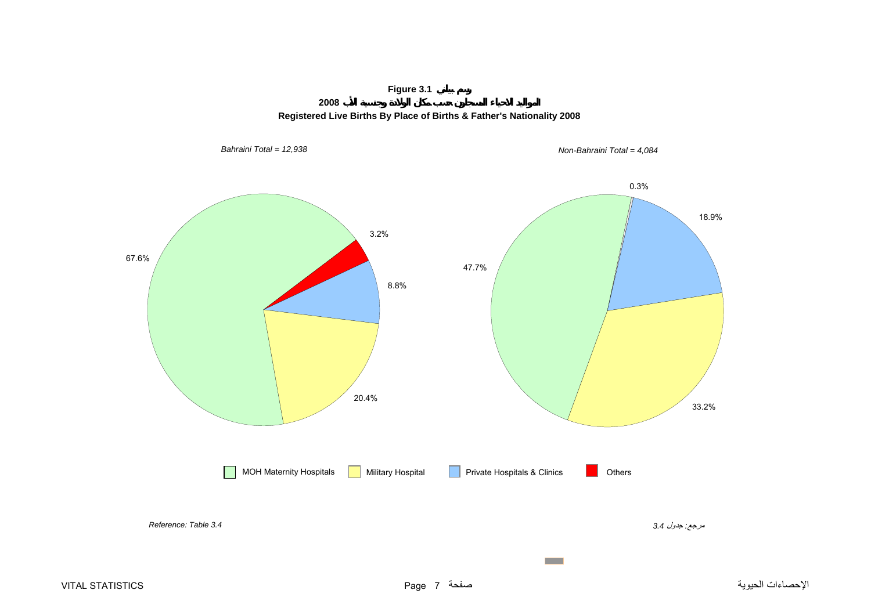# **Figure 3.1**



<span id="page-7-0"></span>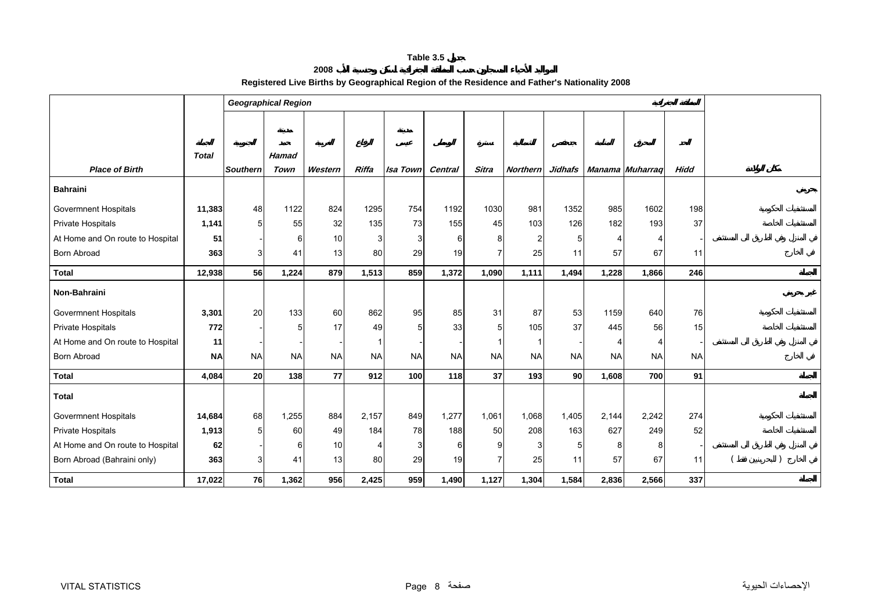## **2008 Registered Live Births by Geographical Region of the Residence and Father's Nationality 2008**

<span id="page-8-0"></span>

|                                  |              | <b>Geographical Region</b> |              |           |                |                 |                |                |                 |           |           |                 |             |  |
|----------------------------------|--------------|----------------------------|--------------|-----------|----------------|-----------------|----------------|----------------|-----------------|-----------|-----------|-----------------|-------------|--|
|                                  |              |                            |              |           |                |                 |                |                |                 |           |           |                 |             |  |
|                                  |              |                            |              |           |                |                 |                |                |                 |           |           |                 |             |  |
|                                  | <b>Total</b> |                            | <b>Hamad</b> |           |                |                 |                |                |                 |           |           |                 |             |  |
| <b>Place of Birth</b>            |              | <b>Southern</b>            | Town         | Western   | Riffa          | <b>Isa Town</b> | <b>Central</b> | <b>Sitra</b>   | <b>Northern</b> | Jidhafs   |           | Manama Muharraq | <b>Hidd</b> |  |
| <b>Bahraini</b>                  |              |                            |              |           |                |                 |                |                |                 |           |           |                 |             |  |
| <b>Govermnent Hospitals</b>      | 11,383       | 48                         | 1122         | 824       | 1295           | 754             | 1192           | 1030           | 981             | 1352      | 985       | 1602            | 198         |  |
| Private Hospitals                | 1,141        | 5                          | 55           | 32        | 135            | 73              | 155            | 45             | 103             | 126       | 182       | 193             | 37          |  |
| At Home and On route to Hospital | 51           |                            | 6            | 10        | 3              | 3               | 61             | 8              |                 |           | 4         | ⊿               |             |  |
| <b>Born Abroad</b>               | 363          | 3 <sup>1</sup>             | 41           | 13        | 80             | 29              | 19             | $\overline{7}$ | 25              | 11        | 57        | 67              | 11          |  |
| <b>Total</b>                     | 12,938       | 56                         | 1,224        | 879       | 1,513          | 859             | 1,372          | 1,090          | 1,111           | 1,494     | 1,228     | 1,866           | 246         |  |
| Non-Bahraini                     |              |                            |              |           |                |                 |                |                |                 |           |           |                 |             |  |
| <b>Govermnent Hospitals</b>      | 3,301        | 20                         | 133          | 60        | 862            | 95              | 85             | 31             | 87              | 53        | 1159      | 640             | 76          |  |
| Private Hospitals                | 772          |                            | 5            | 17        | 49             | 5               | 33             | 5              | 105             | 37        | 445       | 56              | 15          |  |
| At Home and On route to Hospital | 11           |                            |              |           |                |                 |                |                |                 |           |           | ⊿               |             |  |
| <b>Born Abroad</b>               | <b>NA</b>    | <b>NA</b>                  | <b>NA</b>    | <b>NA</b> | <b>NA</b>      | <b>NA</b>       | <b>NA</b>      | <b>NA</b>      | <b>NA</b>       | <b>NA</b> | <b>NA</b> | <b>NA</b>       | <b>NA</b>   |  |
| <b>Total</b>                     | 4,084        | 20                         | 138          | 77        | 912            | 100             | 118            | 37             | 193             | <b>90</b> | 1,608     | 700             | 91          |  |
| <b>Total</b>                     |              |                            |              |           |                |                 |                |                |                 |           |           |                 |             |  |
| <b>Govermnent Hospitals</b>      | 14,684       | 68                         | 1,255        | 884       | 2,157          | 849             | 1,277          | 1,061          | 1,068           | 1,405     | 2,144     | 2,242           | 274         |  |
| Private Hospitals                | 1,913        | 5 <sub>5</sub>             | 60           | 49        | 184            | 78              | 188            | 50             | 208             | 163       | 627       | 249             | 52          |  |
| At Home and On route to Hospital | 62           |                            | 6            | 10        | $\overline{4}$ | 3               | 61             | 9              |                 |           | 8         | 8               |             |  |
| Born Abroad (Bahraini only)      | 363          | 3 <sup>1</sup>             | 41           | 13        | 80             | 29              | 19             | 7              | 25              | 11        | 57        | 67              | 11          |  |
| <b>Total</b>                     | 17,022       | 76                         | 1,362        | 956       | 2,425          | 959             | 1,490          | 1,127          | 1,304           | 1,584     | 2,836     | 2,566           | 337         |  |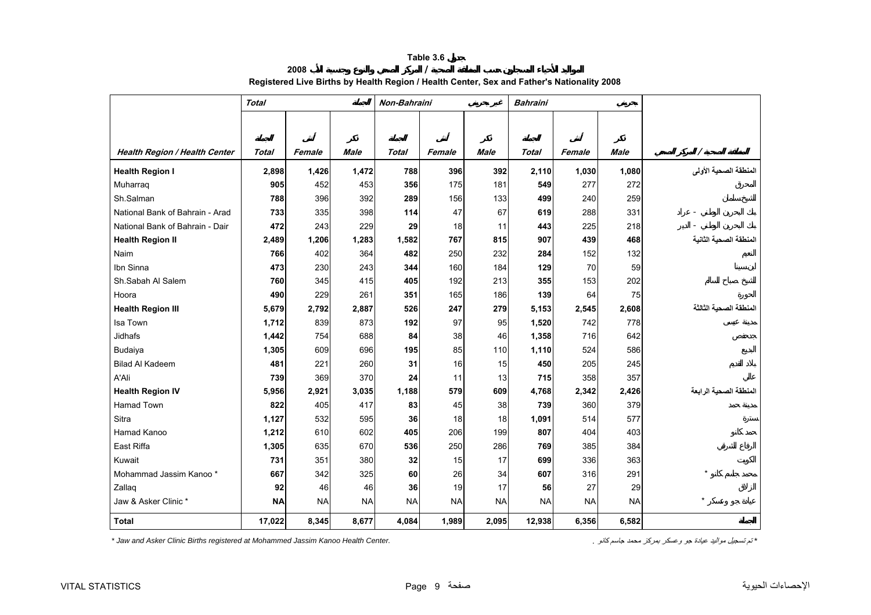# **2008 / Registered Live Births by Health Region / Health Center, Sex and Father's Nationality 2008**

<span id="page-9-0"></span>

|                                      | <b>Total</b> |           |           | Non-Bahraini |           |           | <b>Bahraini</b> |           |           |                        |
|--------------------------------------|--------------|-----------|-----------|--------------|-----------|-----------|-----------------|-----------|-----------|------------------------|
|                                      |              |           |           |              |           |           |                 |           |           |                        |
|                                      |              |           |           |              |           |           |                 |           |           |                        |
| <b>Health Region / Health Center</b> | Total        | Female    | Male      | <b>Total</b> | Female    | Male      | Total           | Female    | Male      | Ι                      |
| <b>Health Region I</b>               | 2,898        | 1,426     | 1,472     | 788          | 396       | 392       | 2,110           | 1,030     | 1,080     | المنطقة الصحية الأولى  |
| Muharraq                             | 905          | 452       | 453       | 356          | 175       | 181       | 549             | 277       | 272       |                        |
| Sh.Salman                            | 788          | 396       | 392       | 289          | 156       | 133       | 499             | 240       | 259       |                        |
| National Bank of Bahrain - Arad      | 733          | 335       | 398       | 114          | 47        | 67        | 619             | 288       | 331       |                        |
| National Bank of Bahrain - Dair      | 472          | 243       | 229       | 29           | 18        | 11        | 443             | 225       | 218       |                        |
| <b>Health Region II</b>              | 2,489        | 1,206     | 1,283     | 1,582        | 767       | 815       | 907             | 439       | 468       | المنطقة الصحية الثانية |
| Naim                                 | 766          | 402       | 364       | 482          | 250       | 232       | 284             | 152       | 132       |                        |
| Ibn Sinna                            | 473          | 230       | 243       | 344          | 160       | 184       | 129             | 70        | 59        |                        |
| Sh.Sabah Al Salem                    | 760          | 345       | 415       | 405          | 192       | 213       | 355             | 153       | 202       |                        |
| Hoora                                | 490          | 229       | 261       | 351          | 165       | 186       | 139             | 64        | 75        |                        |
| <b>Health Region III</b>             | 5,679        | 2,792     | 2,887     | 526          | 247       | 279       | 5,153           | 2,545     | 2,608     | المنطقة الصحية الثالثة |
| Isa Town                             | 1,712        | 839       | 873       | 192          | 97        | 95        | 1,520           | 742       | 778       |                        |
| <b>Jidhafs</b>                       | 1,442        | 754       | 688       | 84           | 38        | 46        | 1,358           | 716       | 642       |                        |
| Budaiya                              | 1,305        | 609       | 696       | 195          | 85        | 110       | 1,110           | 524       | 586       |                        |
| <b>Bilad Al Kadeem</b>               | 481          | 221       | 260       | 31           | 16        | 15        | 450             | 205       | 245       |                        |
| A'Ali                                | 739          | 369       | 370       | 24           | 11        | 13        | 715             | 358       | 357       |                        |
| <b>Health Region IV</b>              | 5,956        | 2,921     | 3,035     | 1,188        | 579       | 609       | 4,768           | 2,342     | 2,426     | المنطقة الصحية الرابعة |
| <b>Hamad Town</b>                    | 822          | 405       | 417       | 83           | 45        | 38        | 739             | 360       | 379       |                        |
| Sitra                                | 1,127        | 532       | 595       | 36           | 18        | 18        | 1,091           | 514       | 577       |                        |
| Hamad Kanoo                          | 1,212        | 610       | 602       | 405          | 206       | 199       | 807             | 404       | 403       |                        |
| East Riffa                           | 1,305        | 635       | 670       | 536          | 250       | 286       | 769             | 385       | 384       |                        |
| Kuwait                               | 731          | 351       | 380       | 32           | 15        | 17        | 699             | 336       | 363       |                        |
| Mohammad Jassim Kanoo *              | 667          | 342       | 325       | 60           | 26        | 34        | 607             | 316       | 291       | $\star$                |
| Zallaq                               | 92           | 46        | 46        | 36           | 19        | 17        | 56              | 27        | 29        |                        |
| Jaw & Asker Clinic *                 | <b>NA</b>    | <b>NA</b> | <b>NA</b> | <b>NA</b>    | <b>NA</b> | <b>NA</b> | <b>NA</b>       | <b>NA</b> | <b>NA</b> |                        |
| <b>Total</b>                         | 17,022       | 8,345     | 8,677     | 4,084        | 1,989     | 2,095     | 12,938          | 6,356     | 6,582     |                        |

*\* Jaw and Asker Clinic Births registered at Mohammed Jassim Kanoo Health Center. .* آانو جاسم محمد بمرآز وعسكر جو عيادة مواليد تسجيل تم*\**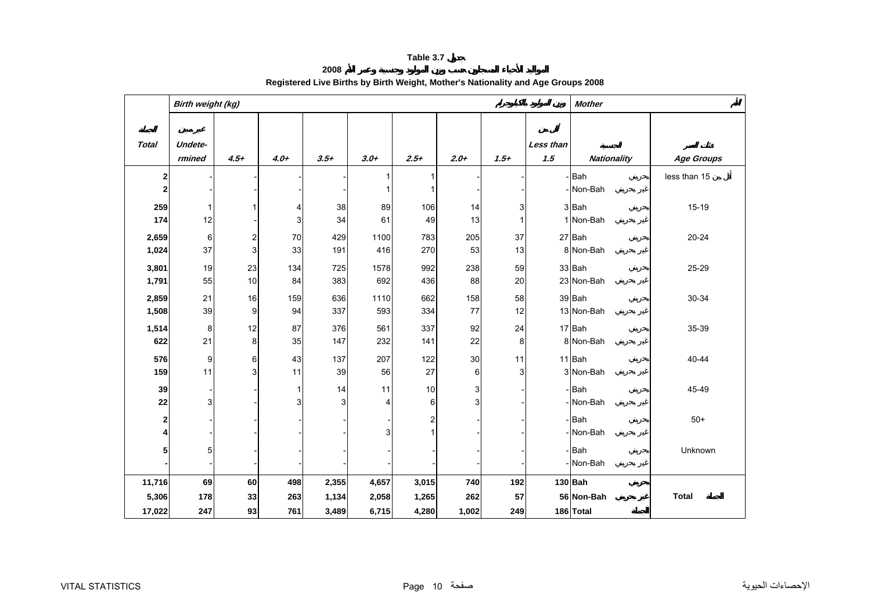**2008**

<span id="page-10-0"></span>

|              | Birth weight (kg) |                           |              |        | <b>Mother</b> |                         |        |        |                  |                    |                   |
|--------------|-------------------|---------------------------|--------------|--------|---------------|-------------------------|--------|--------|------------------|--------------------|-------------------|
| <b>Total</b> | Undete-<br>rmined | $4.5+$                    | $4.0+$       | $3.5+$ | $3.0+$        | $2.5+$                  | $2.0+$ | $1.5+$ | Less than<br>1.5 | <b>Nationality</b> | <b>Age Groups</b> |
| $\mathbf 2$  |                   |                           |              |        |               | 1                       |        |        |                  | -Bah               | less than 15      |
| $\bf 2$      |                   |                           |              |        |               | $\mathbf{1}$            |        |        |                  | -Non-Bah           |                   |
| 259          | 1                 |                           | 4            | 38     | 89            | 106                     | 14     | 3      |                  | 3 Bah              | $15-19$           |
| 174          | 12                |                           | 3            | 34     | 61            | 49                      | 13     | 1      |                  | 1 Non-Bah          |                   |
| 2,659        | 6                 | $\overline{2}$            | 70           | 429    | 1100          | 783                     | 205    | 37     |                  | 27 Bah             | $20 - 24$         |
| 1,024        | 37                | $\ensuremath{\mathsf{3}}$ | 33           | 191    | 416           | 270                     | 53     | 13     |                  | 8 Non-Bah          |                   |
| 3,801        | 19                | 23                        | 134          | 725    | 1578          | 992                     | 238    | 59     |                  | 33 Bah             | 25-29             |
| 1,791        | 55                | 10                        | 84           | 383    | 692           | 436                     | 88     | 20     |                  | 23 Non-Bah         |                   |
| 2,859        | 21                | 16                        | 159          | 636    | 1110          | 662                     | 158    | 58     |                  | 39 Bah             | 30-34             |
| 1,508        | 39                | 9                         | 94           | 337    | 593           | 334                     | 77     | 12     |                  | 13 Non-Bah         |                   |
| 1,514        | 8                 | 12                        | 87           | 376    | 561           | 337                     | 92     | 24     |                  | 17 Bah             | 35-39             |
| 622          | 21                | 8                         | 35           | 147    | 232           | 141                     | 22     | 8      |                  | 8 Non-Bah          |                   |
| 576          | 9                 | 6                         | 43           | 137    | 207           | 122                     | 30     | 11     |                  | 11 Bah             | 40-44             |
| 159          | 11                | 3                         | 11           | 39     | 56            | 27                      | 6      | 3      |                  | 3 Non-Bah          |                   |
| 39           |                   |                           | $\mathbf{1}$ | 14     | 11            | 10                      | 3      |        |                  | -Bah               | 45-49             |
| 22           | 3                 |                           | 3            | 3      | 4             | 6                       | 3      |        |                  | -Non-Bah           |                   |
| $\mathbf 2$  |                   |                           |              |        |               | $\overline{\mathbf{c}}$ |        |        |                  | - Bah              | $50+$             |
| 4            |                   |                           |              |        | 3             | $\mathbf{1}$            |        |        |                  | -INon-Bah          |                   |
| 5            | 5                 |                           |              |        |               |                         |        |        |                  | -Bah               | Unknown           |
|              |                   |                           |              |        |               |                         |        |        |                  | -Non-Bah           |                   |
| 11,716       | 69                | 60                        | 498          | 2,355  | 4,657         | 3,015                   | 740    | 192    |                  | 130 Bah            |                   |
| 5,306        | 178               | 33                        | 263          | 1,134  | 2,058         | 1,265                   | 262    | 57     |                  | 56 Non-Bah         | <b>Total</b>      |
| 17,022       | 247               | 93                        | 761          | 3,489  | 6,715         | 4,280                   | 1,002  | 249    |                  | 186 Total          |                   |

# **Registered Live Births by Birth Weight, Mother's Nationality and Age Groups 2008**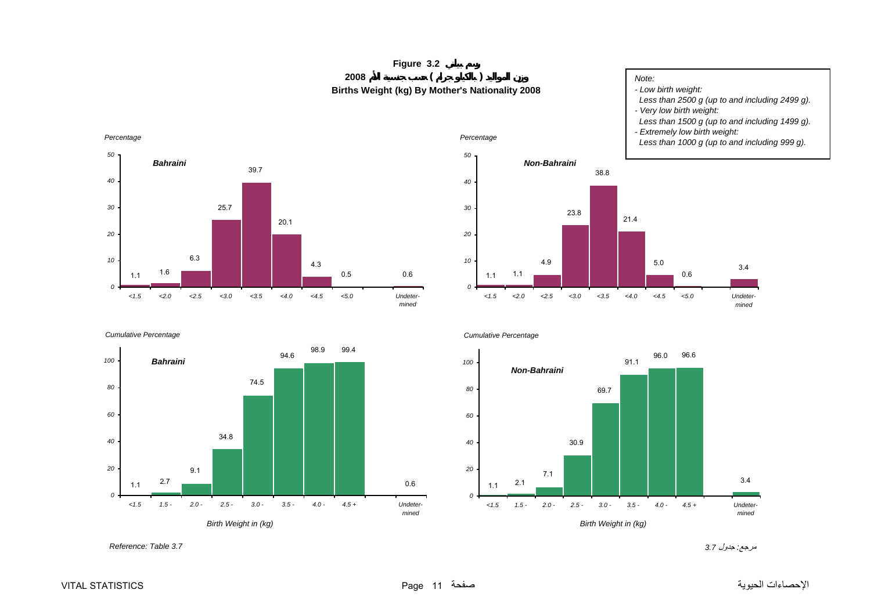# **Figure 3.2 <sup>2008</sup> ( ) Births Weight (kg) By Mother's Nationality 2008**

# *Note:*

*- Low birth weight: Less than 2500 g (up to and including 2499 g).*

- *Very low birth weight:*
- *Less than 1500 g (up to and including 1499 g).*

3.4

*Undetermined*

*- Extremely low birth weight:* 

0.6

5.0

21.4

*<1.5 <2.0 <2.5 <3.0 <3.5 <4.0 <4.5 <5.0*

38.8

23.8

4.9

*Non-Bahraini*

 *Less than 1000 g (up to and including 999 g).*

<span id="page-11-0"></span>

*Cumulative Percentage*





1.1

*0*

*10*

*20*

*30*

*40*

*50*

*Percentage*

1.1



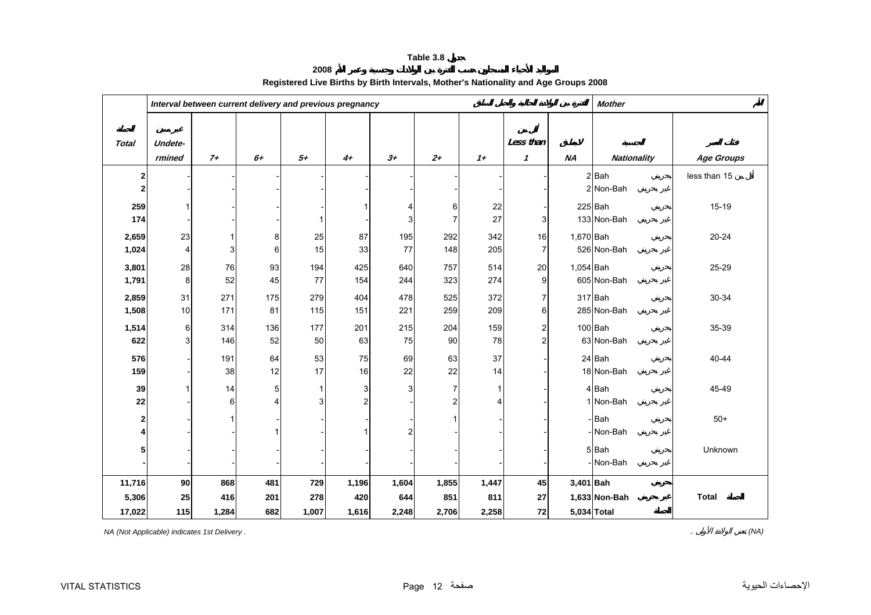**2008**

<span id="page-12-0"></span>

|                |         |       | Interval between current delivery and previous pregnancy |              | <b>Mother</b>  |                         |                |           |                       |           |                    |                   |
|----------------|---------|-------|----------------------------------------------------------|--------------|----------------|-------------------------|----------------|-----------|-----------------------|-----------|--------------------|-------------------|
|                |         |       |                                                          |              |                |                         |                |           |                       |           |                    |                   |
| <b>Total</b>   | Undete- |       |                                                          |              |                |                         |                |           | Less than             |           |                    |                   |
|                | rmined  | $7+$  | $6+$                                                     | $5+$         | $4+$           | $3+$                    | $2+$           | $1+$      | $\boldsymbol{\prime}$ | <b>NA</b> | <b>Nationality</b> | <b>Age Groups</b> |
| $\mathbf{2}$   |         |       |                                                          |              |                |                         |                |           |                       |           | $2$ Bah            | less than 15      |
| $\mathbf{2}$   |         |       |                                                          |              |                |                         |                |           |                       |           | 2 Non-Bah          |                   |
| 259            |         |       |                                                          |              |                | 4                       | 6              | 22        |                       |           | $225$ Bah          | $15-19$           |
| 174            |         |       |                                                          | $\mathbf 1$  |                | 3                       | $\overline{7}$ | 27        | 3                     |           | 133 Non-Bah        |                   |
| 2,659          | 23      | 1     | 8                                                        | 25           | 87             | 195                     | 292            | 342       | 16                    | 1,670 Bah |                    | $20 - 24$         |
| 1,024          | 4       | 3     | 6                                                        | 15           | 33             | 77                      | 148            | 205       | $\overline{7}$        |           | 526 Non-Bah        |                   |
| 3,801          | 28      | 76    | 93                                                       | 194          | 425            | 640                     | 757            | 514       | 20                    | 1,054 Bah |                    | 25-29             |
| 1,791          | 8       | 52    | 45                                                       | 77           | 154            | 244                     | 323            | 274       | 9                     |           | 605 Non-Bah        |                   |
| 2,859          | 31      | 271   | 175                                                      | 279          | 404            | 478                     | 525            | 372       | 7                     |           | 317 Bah            | 30-34             |
| 1,508          | 10      | 171   | 81                                                       | 115          | 151            | 221                     | 259            | 209       | 6                     |           | 285 Non-Bah        |                   |
|                |         | 314   | 136                                                      | 177          | 201            |                         | 204            |           |                       |           | $100$ Bah          | 35-39             |
| 1,514<br>622   | 6<br>3  | 146   | 52                                                       | 50           | 63             | 215<br>75               | 90             | 159<br>78 | 2<br>$\overline{c}$   |           | 63 Non-Bah         |                   |
|                |         |       |                                                          |              |                |                         |                |           |                       |           |                    |                   |
| 576            |         | 191   | 64                                                       | 53           | 75<br>16       | 69                      | 63<br>22       | 37        |                       |           | 24 Bah             | 40-44             |
| 159            |         | 38    | 12                                                       | 17           |                | 22                      |                | 14        |                       |           | 18 Non-Bah         |                   |
| 39             |         | 14    | 5                                                        | $\mathbf{1}$ | 3              | 3                       | 7              | 1         |                       |           | 4 Bah              | 45-49             |
| 22             |         | 6     | 4                                                        | 3            | $\overline{c}$ |                         | 2              | 4         |                       |           | 1 Non-Bah          |                   |
| $\mathbf{2}$   |         | 1     |                                                          |              |                |                         | 1              |           |                       |           | -Bah               | $50+$             |
| $\overline{4}$ |         |       |                                                          |              |                | $\overline{\mathbf{c}}$ |                |           |                       |           | - Non-Bah          |                   |
| 5 <sub>l</sub> |         |       |                                                          |              |                |                         |                |           |                       |           | 5Bah               | Unknown           |
|                |         |       |                                                          |              |                |                         |                |           |                       |           | - Non-Bah          |                   |
| 11,716         | 90      | 868   | 481                                                      | 729          | 1,196          | 1,604                   | 1,855          | 1,447     | 45                    | 3,401 Bah |                    |                   |
| 5,306          | 25      | 416   | 201                                                      | 278          | 420            | 644                     | 851            | 811       | 27                    |           | 1,633 Non-Bah      | <b>Total</b>      |
| 17,022         | 115     | 1,284 | 682                                                      | 1,007        | 1,616          | 2,248                   | 2,706          | 2,258     | 72                    |           | 5,034 Total        |                   |

# **Registered Live Births by Birth Intervals, Mother's Nationality and Age Groups 2008**

*NA (Not Applicable) indicates 1st Delivery .* . *(NA)*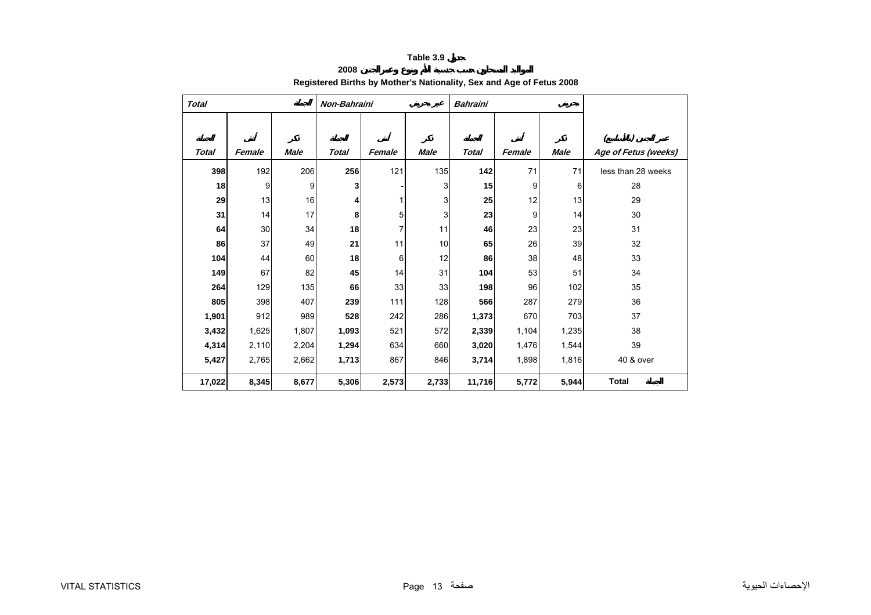## **2008 Registered Births by Mother's Nationality, Sex and Age of Fetus 2008**

<span id="page-13-0"></span>

| <b>Total</b> |        |             | Non-Bahraini |        |             | <b>Bahraini</b> |        |       |                      |
|--------------|--------|-------------|--------------|--------|-------------|-----------------|--------|-------|----------------------|
| <b>Total</b> | Female | <b>Male</b> | <b>Total</b> | Female | <b>Male</b> | <b>Total</b>    | Female | Male  | Age of Fetus (weeks) |
| 398          | 192    | 206         | 256          | 121    | 135         | 142             | 71     | 71    | less than 28 weeks   |
| 18           | 9      | 9           | 3            |        | 3           | 15              | 9      | 6     | 28                   |
| 29           | 13     | 16          | 4            |        | 3           | 25              | 12     | 13    | 29                   |
| 31           | 14     | 17          | 8            | 5      | 3           | 23              | 9      | 14    | 30                   |
| 64           | 30     | 34          | 18           | 7      | 11          | 46              | 23     | 23    | 31                   |
| 86           | 37     | 49          | 21           | 11     | 10          | 65              | 26     | 39    | 32                   |
| 104          | 44     | 60          | 18           | 6      | 12          | 86              | 38     | 48    | 33                   |
| 149          | 67     | 82          | 45           | 14     | 31          | 104             | 53     | 51    | 34                   |
| 264          | 129    | 135         | 66           | 33     | 33          | 198             | 96     | 102   | 35                   |
| 805          | 398    | 407         | 239          | 111    | 128         | 566             | 287    | 279   | 36                   |
| 1,901        | 912    | 989         | 528          | 242    | 286         | 1,373           | 670    | 703   | 37                   |
| 3,432        | 1,625  | 1,807       | 1,093        | 521    | 572         | 2,339           | 1,104  | 1,235 | 38                   |
| 4,314        | 2,110  | 2,204       | 1,294        | 634    | 660         | 3,020           | 1,476  | 1,544 | 39                   |
| 5,427        | 2,765  | 2,662       | 1,713        | 867    | 846         | 3,714           | 1,898  | 1,816 | 40 & over            |
| 17,022       | 8,345  | 8,677       | 5,306        | 2,573  | 2,733       | 11,716          | 5,772  | 5,944 | <b>Total</b>         |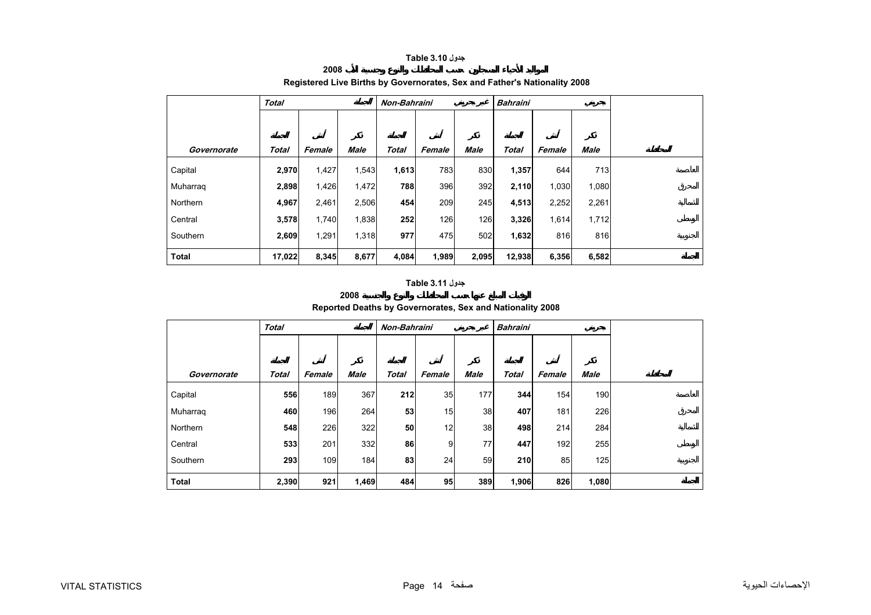## **جدول 3.10 Table**

# <span id="page-14-0"></span>**Total Non-Bahraini Bahraini Governorate Total Female Male Total Female Male Total Female Male** Capital **2,970** 1,427 1,543 **1,613** 783 830 **1,357** 644 713 Muharraq **2,898** 1,426 1,472 **788** 396 392 **2,110** 1,030 1,080 Northern **4,967** 2,461 2,506 **454** 209 245 **4,513** 2,252 2,261 **Central 3,578** 1,740 1,838 **252** 126 126 **3,326** 1,614 1,712 Southern **2,609** 1,291 1,318 **977** 475 502 **1,632** 816 816  **Total 17,022 8,345 8,677 4,084 1,989 2,095 12,938 6,356 6,582**

## **Registered Live Births by Governorates, Sex and Father's Nationality 2008**

# **جدول 3.11 Table**

**2008**

**2008**

## **Reported Deaths by Governorates, Sex and Nationality 2008**

|              | <b>Total</b> |        |             | Non-Bahraini |                |             | <b>Bahraini</b> |        |             |  |  |
|--------------|--------------|--------|-------------|--------------|----------------|-------------|-----------------|--------|-------------|--|--|
|              |              |        |             |              |                |             |                 |        |             |  |  |
| Governorate  | <b>Total</b> | Female | <b>Male</b> | <b>Total</b> | Female         | <b>Male</b> | <b>Total</b>    | Female | <b>Male</b> |  |  |
| Capital      | 556          | 189    | 367         | 212          | 35             | 177         | 344             | 154    | 190         |  |  |
| Muharraq     | 460          | 196    | 264         | 53           | 15             | 38          | 407             | 181    | 226         |  |  |
| Northern     | 548          | 226    | 322         | 50           | 12             | 38          | 498             | 214    | 284         |  |  |
| Central      | 533          | 201    | 332         | 86           | 9 <sup>1</sup> | 77          | 447             | 192    | 255         |  |  |
| Southern     | 293          | 109    | 184         | 83           | 24             | 59          | 210             | 85     | 125         |  |  |
| <b>Total</b> | 2,390        | 921    | 1,469       | 484          | 95             | 389         | 1,906           | 826    | 1,080       |  |  |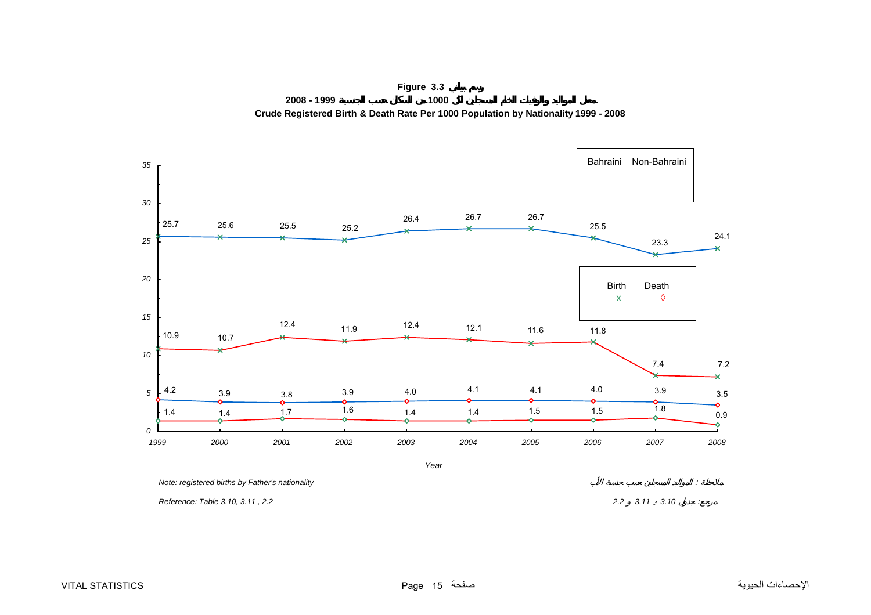<span id="page-15-0"></span>

**Figure 3.3 2008 - 1999 1000 Crude Registered Birth & Death Rate Per 1000 Population by Nationality 1999 - 2008**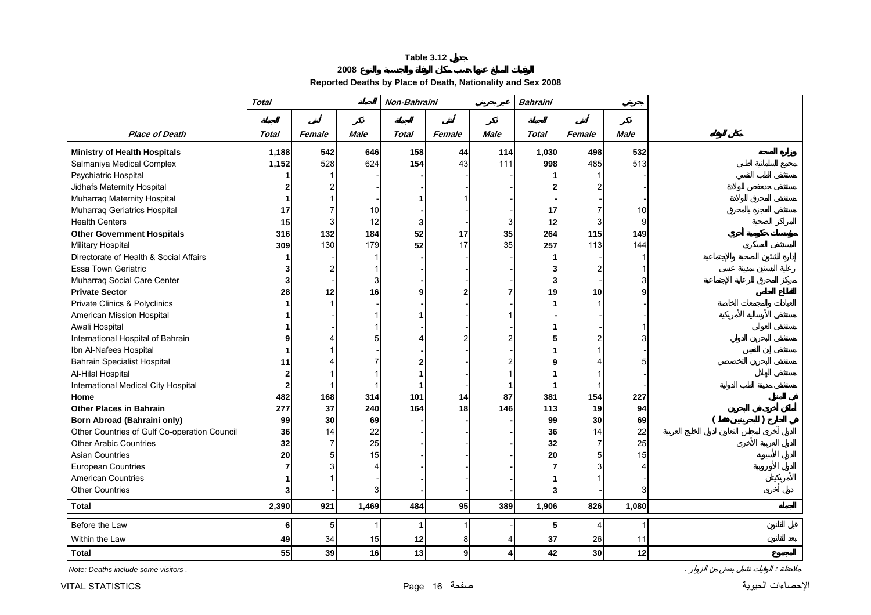## **2008 Reported Deaths by Place of Death, Nationality and Sex 2008**

<span id="page-16-0"></span>

|                                              | <b>Total</b> |        |             | Non-Bahraini |              |             | <b>Bahraini</b> |                 |             |  |
|----------------------------------------------|--------------|--------|-------------|--------------|--------------|-------------|-----------------|-----------------|-------------|--|
|                                              |              |        |             |              |              |             |                 |                 |             |  |
| <b>Place of Death</b>                        | <b>Total</b> | Female | <b>Male</b> | <b>Total</b> | Female       | <b>Male</b> | <b>Total</b>    | Female          | <b>Male</b> |  |
| <b>Ministry of Health Hospitals</b>          | 1,188        | 542    | 646         | 158          | 44           | 114         | 1,030           | 498             | 532         |  |
| Salmaniya Medical Complex                    | 1,152        | 528    | 624         | 154          | 43           | 111         | 998             | 485             | 513         |  |
| Psychiatric Hospital                         |              |        |             |              |              |             |                 |                 |             |  |
| Jidhafs Maternity Hospital                   |              |        |             |              |              |             |                 |                 |             |  |
| Muharraq Maternity Hospital                  |              |        |             |              |              |             |                 |                 |             |  |
| Muharraq Geriatrics Hospital                 | 17           |        | 10          |              |              |             | 17              |                 | 10          |  |
| <b>Health Centers</b>                        | 15           | 3      | 12          | 3            |              |             | 12              |                 | 9           |  |
| <b>Other Government Hospitals</b>            | 316          | 132    | 184         | 52           | 17           | 35          | 264             | 115             | 149         |  |
| <b>Military Hospital</b>                     | 309          | 130    | 179         | 52           | 17           | 35          | 257             | 113             | 144         |  |
| Directorate of Health & Social Affairs       |              |        |             |              |              |             |                 |                 |             |  |
| <b>Essa Town Geriatric</b>                   | 3            | 2      |             |              |              |             |                 |                 |             |  |
| Muharraq Social Care Center                  | 3            |        | 3           |              |              |             |                 |                 |             |  |
| <b>Private Sector</b>                        | 28           | 12     | 16          |              | 2            |             | 19              | 10              |             |  |
| Private Clinics & Polyclinics                |              |        |             |              |              |             |                 |                 |             |  |
| American Mission Hospital                    |              |        |             |              |              |             |                 |                 |             |  |
| Awali Hospital                               |              |        |             |              |              |             |                 |                 |             |  |
| International Hospital of Bahrain            |              |        |             |              | 2            |             |                 |                 |             |  |
| Ibn Al-Nafees Hospital                       |              |        |             |              |              |             |                 |                 |             |  |
| <b>Bahrain Specialist Hospital</b>           | 11           |        |             |              |              |             |                 |                 |             |  |
| Al-Hilal Hospital                            |              |        |             |              |              |             |                 |                 |             |  |
| International Medical City Hospital          | $\mathbf{2}$ |        |             |              |              |             |                 |                 |             |  |
| Home                                         | 482          | 168    | 314         | 101          | 14           | 87          | 381             | 154             | 227         |  |
| <b>Other Places in Bahrain</b>               | 277          | 37     | 240         | 164          | 18           | 146         | 113             | 19              | 94          |  |
| <b>Born Abroad (Bahraini only)</b>           | 99           | 30     | 69          |              |              |             | 99              | 30              | 69          |  |
| Other Countries of Gulf Co-operation Council | 36           | 14     | 22          |              |              |             | 36              | 14              | 22          |  |
| <b>Other Arabic Countries</b>                | 32           | 7      | 25          |              |              |             | 32              | $\overline{7}$  | 25          |  |
| <b>Asian Countries</b>                       | 20           | 5      | 15          |              |              |             | 20              | 5               | 15          |  |
| European Countries                           |              |        |             |              |              |             |                 |                 |             |  |
| American Countries                           |              |        |             |              |              |             |                 |                 |             |  |
| <b>Other Countries</b>                       | 3            |        |             |              |              |             |                 |                 |             |  |
| <b>Total</b>                                 | 2,390        | 921    | 1,469       | 484          | 95           | 389         | 1,906           | 826             | 1,080       |  |
| Before the Law                               | 6            | 5      |             |              | 1            |             | 5               |                 |             |  |
| Within the Law                               | 49           | 34     | 15          | 12           | 8            |             | 37              | 26              | 11          |  |
| <b>Total</b>                                 | 55           | 39     | 16          | 13           | $\mathbf{g}$ | 4           | 42              | 30 <sup>°</sup> | 12          |  |

*Note: Deaths include some visitors .* . :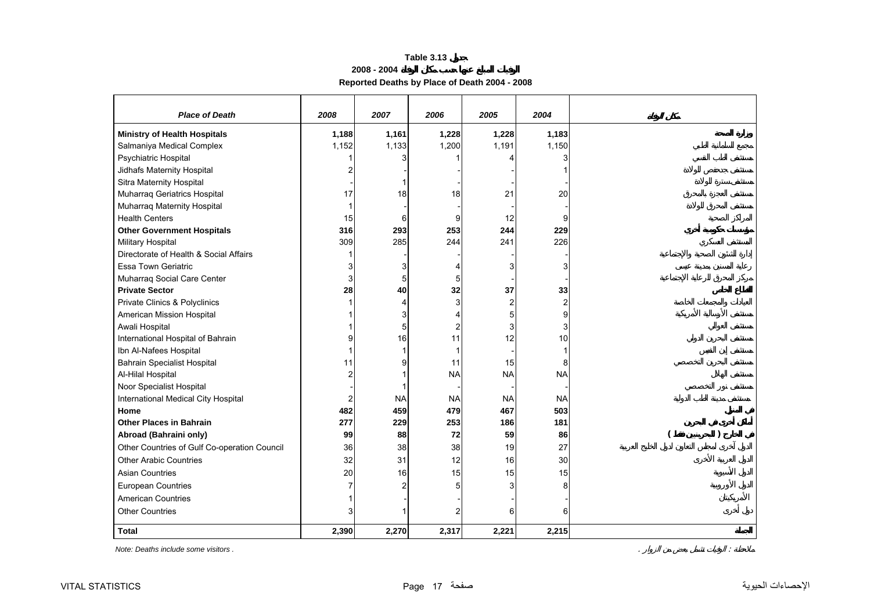## **2008 - 2004 Reported Deaths by Place of Death 2004 - 2008**

<span id="page-17-0"></span>

| <b>Place of Death</b>                        | 2008  | 2007      | 2006           | 2005           | 2004                    |  |
|----------------------------------------------|-------|-----------|----------------|----------------|-------------------------|--|
| <b>Ministry of Health Hospitals</b>          | 1,188 | 1,161     | 1,228          | 1,228          | 1,183                   |  |
| Salmaniya Medical Complex                    | 1,152 | 1,133     | 1,200          | 1,191          | 1,150                   |  |
| Psychiatric Hospital                         |       |           |                |                | 3                       |  |
| Jidhafs Maternity Hospital                   | 2     |           |                |                |                         |  |
| Sitra Maternity Hospital                     |       |           |                |                |                         |  |
| Muharraq Geriatrics Hospital                 | 17    | 18        | 18             | 21             | 20                      |  |
| Muharraq Maternity Hospital                  |       |           |                |                |                         |  |
| <b>Health Centers</b>                        | 15    | 6         | 9              | 12             | 9                       |  |
| <b>Other Government Hospitals</b>            | 316   | 293       | 253            | 244            | 229                     |  |
| Military Hospital                            | 309   | 285       | 244            | 241            | 226                     |  |
| Directorate of Health & Social Affairs       |       |           |                |                |                         |  |
| <b>Essa Town Geriatric</b>                   | 3     |           | 4              | 3              | 3                       |  |
| Muharraq Social Care Center                  | 3     |           | 5              |                |                         |  |
| <b>Private Sector</b>                        | 28    | 40        | 32             | 37             | 33                      |  |
| Private Clinics & Polyclinics                |       |           | 3              | $\overline{2}$ | $\overline{\mathbf{c}}$ |  |
| American Mission Hospital                    |       |           | 4              | 5              | 9                       |  |
| Awali Hospital                               |       | 5         | $\overline{c}$ | 3              | 3                       |  |
| International Hospital of Bahrain            | 9     | 16        | 11             | 12             | 10                      |  |
| Ibn Al-Nafees Hospital                       |       |           |                |                | 1                       |  |
| <b>Bahrain Specialist Hospital</b>           | 11    | 9         | 11             | 15             | 8                       |  |
| Al-Hilal Hospital                            | 2     |           | <b>NA</b>      | <b>NA</b>      | <b>NA</b>               |  |
| Noor Specialist Hospital                     |       |           |                |                |                         |  |
| International Medical City Hospital          | 2     | <b>NA</b> | <b>NA</b>      | <b>NA</b>      | <b>NA</b>               |  |
| Home                                         | 482   | 459       | 479            | 467            | 503                     |  |
| <b>Other Places in Bahrain</b>               | 277   | 229       | 253            | 186            | 181                     |  |
| Abroad (Bahraini only)                       | 99    | 88        | 72             | 59             | 86                      |  |
| Other Countries of Gulf Co-operation Council | 36    | 38        | 38             | 19             | 27                      |  |
| <b>Other Arabic Countries</b>                | 32    | 31        | 12             | 16             | 30                      |  |
| <b>Asian Countries</b>                       | 20    | 16        | 15             | 15             | 15                      |  |
| European Countries                           | 7     |           | 5              | 3              | 8                       |  |
| American Countries                           |       |           |                |                |                         |  |
| <b>Other Countries</b>                       | 3     |           |                | Բ              | 6                       |  |
| <b>Total</b>                                 | 2,390 | 2,270     | 2,317          | 2,221          | 2,215                   |  |

*Note: Deaths include some visitors .* . :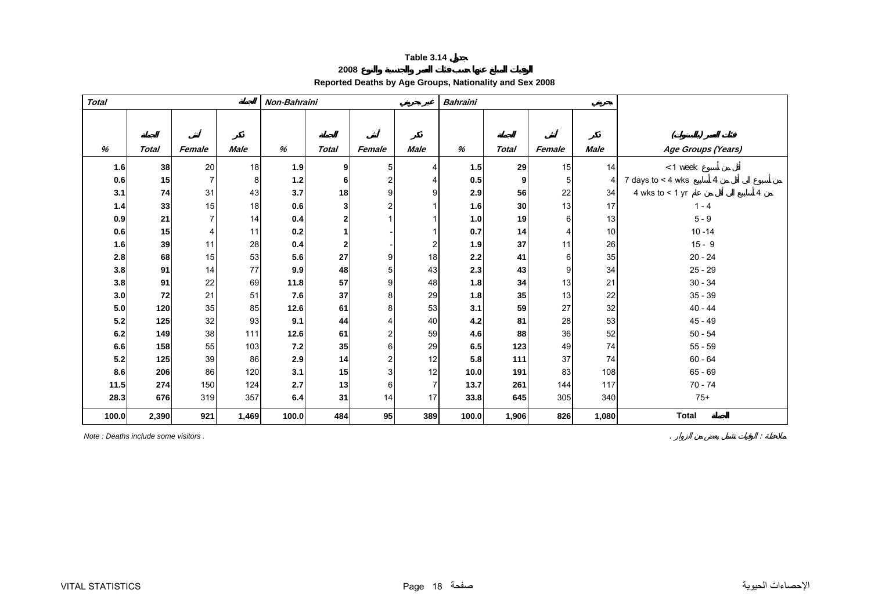## **2008 Reported Deaths by Age Groups, Nationality and Sex 2008**

<span id="page-18-0"></span>

| <b>Total</b> |              |        |                | Non-Bahraini |                |                |                | <b>Bahraini</b> |              |        |             |                          |
|--------------|--------------|--------|----------------|--------------|----------------|----------------|----------------|-----------------|--------------|--------|-------------|--------------------------|
|              |              |        |                |              |                |                |                |                 |              |        |             |                          |
|              |              |        |                |              |                |                |                |                 |              |        |             |                          |
| %            | <b>Total</b> | Female | <b>Male</b>    | %            | <b>Total</b>   | Female         | <b>Male</b>    | %               | <b>Total</b> | Female | <b>Male</b> | Age Groups (Years)       |
| 1.6          | 38           | 20     | 18             | 1.9          | 9              | 5              | 4              | 1.5             | 29           | 15     | 14          | $< 1$ week               |
| 0.6          | 15           | 7      | 8 <sup>1</sup> | 1.2          | 6              | 2              |                | 0.5             | 9            | 5      |             | 7 days to $<$ 4 wks<br>4 |
| 3.1          | 74           | 31     | 43             | 3.7          | 18             | 9              | 9              | 2.9             | 56           | 22     | 34          | 4 wks to $<$ 1 yr        |
| 1.4          | 33           | 15     | 18             | 0.6          | 3              | $\overline{2}$ |                | 1.6             | 30           | 13     | 17          | $1 - 4$                  |
| 0.9          | 21           |        | 14             | 0.4          | 2              |                |                | 1.0             | 19           | 6      | 13          | $5 - 9$                  |
| 0.6          | 15           | 4      | 11             | 0.2          |                |                |                | 0.7             | 14           | 4      | 10          | $10 - 14$                |
| 1.6          | 39           | 11     | 28             | 0.4          | $\overline{2}$ |                | 2              | 1.9             | 37           | 11     | 26          | $15 - 9$                 |
| 2.8          | 68           | 15     | 53             | 5.6          | 27             | 9              | 18             | 2.2             | 41           | 6      | 35          | $20 - 24$                |
| 3.8          | 91           | 14     | 77             | 9.9          | 48             | 5              | 43             | 2.3             | 43           | 9      | 34          | $25 - 29$                |
| 3.8          | 91           | 22     | 69             | 11.8         | 57             | 9              | 48             | 1.8             | 34           | 13     | 21          | $30 - 34$                |
| 3.0          | 72           | 21     | 51             | 7.6          | 37             | 8              | 29             | 1.8             | 35           | 13     | 22          | $35 - 39$                |
| $5.0$        | 120          | 35     | 85             | 12.6         | 61             | 8              | 53             | 3.1             | 59           | 27     | 32          | $40 - 44$                |
| 5.2          | 125          | 32     | 93             | 9.1          | 44             |                | 40             | 4.2             | 81           | 28     | 53          | $45 - 49$                |
| 6.2          | 149          | 38     | 111            | 12.6         | 61             | $\overline{2}$ | 59             | 4.6             | 88           | 36     | 52          | $50 - 54$                |
| 6.6          | 158          | 55     | 103            | 7.2          | 35             | 6              | 29             | 6.5             | 123          | 49     | 74          | $55 - 59$                |
| 5.2          | 125          | 39     | 86             | 2.9          | 14             | 2              | 12             | 5.8             | 111          | 37     | 74          | $60 - 64$                |
| 8.6          | 206          | 86     | 120            | 3.1          | 15             | 3              | 12             | 10.0            | 191          | 83     | 108         | $65 - 69$                |
| 11.5         | 274          | 150    | 124            | 2.7          | 13             | 6              | $\overline{7}$ | 13.7            | 261          | 144    | 117         | $70 - 74$                |
| 28.3         | 676          | 319    | 357            | 6.4          | 31             | 14             | 17             | 33.8            | 645          | 305    | 340         | $75+$                    |
| 100.0        | 2,390        | 921    | 1,469          | 100.0        | 484            | 95             | 389            | 100.0           | 1,906        | 826    | 1,080       | <b>Total</b>             |

*Note : Deaths include some visitors .* . :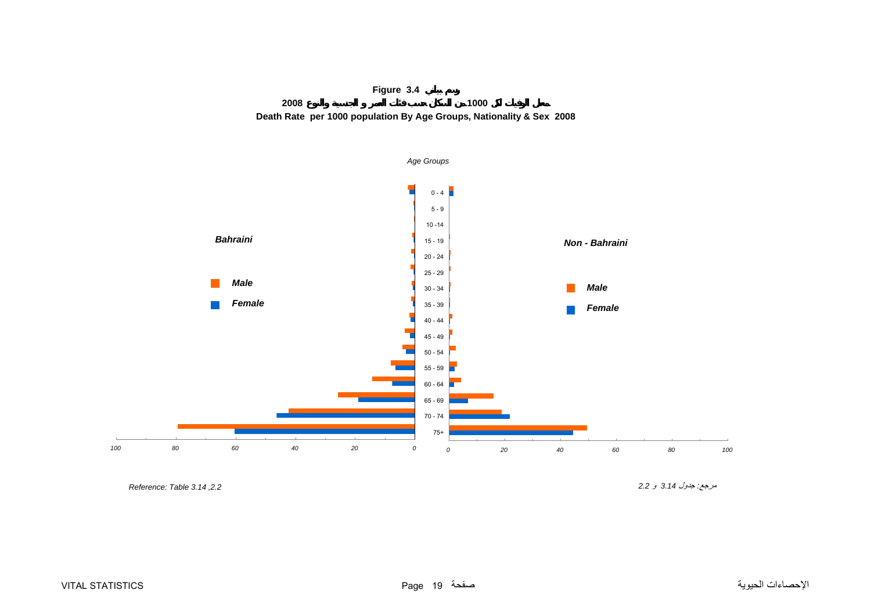

<span id="page-19-0"></span>

*,2.2 3.14 Table :Reference* 

مرجع*:* جدول *3.14* <sup>و</sup> *2.2*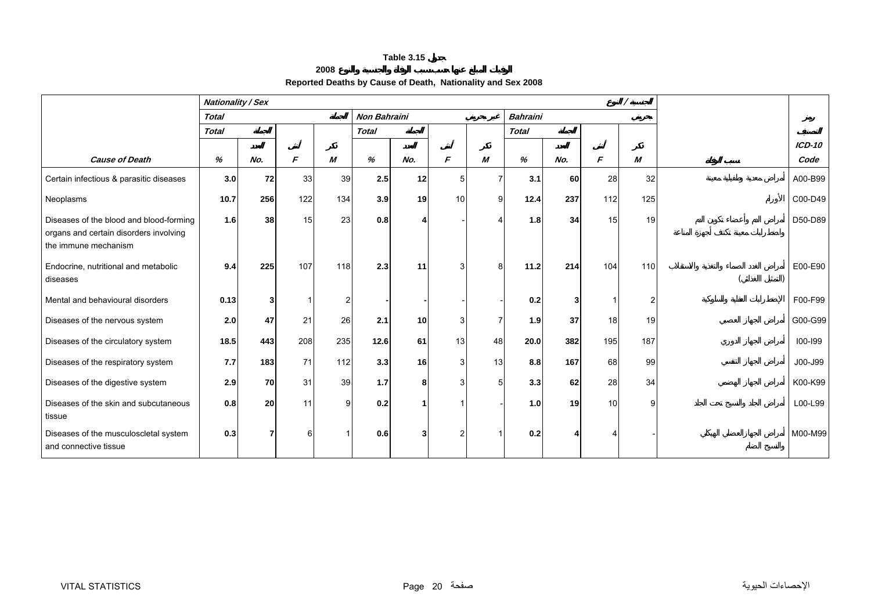#### **2008**

# **Reported Deaths by Cause of Death, Nationality and Sex 2008**

<span id="page-20-0"></span>

|                                                                                                           | <b>Nationality / Sex</b> |           |               |                |                     |                 |                |    |                 |           |     |     |          |
|-----------------------------------------------------------------------------------------------------------|--------------------------|-----------|---------------|----------------|---------------------|-----------------|----------------|----|-----------------|-----------|-----|-----|----------|
|                                                                                                           | <b>Total</b>             |           |               |                | <b>Non Bahraini</b> |                 |                |    | <b>Bahraini</b> |           |     |     |          |
|                                                                                                           | <b>Total</b>             |           |               |                | <b>Total</b>        |                 |                |    | <b>Total</b>    |           |     |     |          |
|                                                                                                           |                          |           |               |                |                     |                 |                |    |                 |           |     |     | $ICD-10$ |
| <b>Cause of Death</b>                                                                                     | %                        | No.       | $\mathcal{F}$ | M              | %                   | No.             | F              | M  | %               | No.       | F   | M   | Code     |
| Certain infectious & parasitic diseases                                                                   | 3.0                      | 72        | 33            | 39             | 2.5                 | 12              | 5              |    | 3.1             | <b>60</b> | 28  | 32  | A00-B99  |
| Neoplasms                                                                                                 | 10.7                     | 256       | 122           | 134            | 3.9                 | 19              | 10             | 9  | 12.4            | 237       | 112 | 125 | C00-D49  |
| Diseases of the blood and blood-forming<br>organs and certain disorders involving<br>the immune mechanism | 1.6                      | 38        | 15            | 23             | 0.8                 |                 |                |    | 1.8             | 34        | 15  | 19  | D50-D89  |
| Endocrine, nutritional and metabolic<br>diseases                                                          | 9.4                      | 225       | 107           | 118            | 2.3                 | 11              | 3 <sup>1</sup> | 8  | 11.2            | 214       | 104 | 110 | E00-E90  |
| Mental and behavioural disorders                                                                          | 0.13                     | 3         |               | $\overline{2}$ |                     |                 |                |    | 0.2             |           |     | 2   | F00-F99  |
| Diseases of the nervous system                                                                            | 2.0                      | 47        | 21            | 26             | 2.1                 | 10 <sup>1</sup> | 3              |    | 1.9             | 37        | 18  | 19  | G00-G99  |
| Diseases of the circulatory system                                                                        | 18.5                     | 443       | 208           | 235            | 12.6                | 61              | 13             | 48 | 20.0            | 382       | 195 | 187 | 100-199  |
| Diseases of the respiratory system                                                                        | 7.7                      | 183       | 71            | 112            | 3.3                 | 16 <sup>1</sup> | $\mathbf{3}$   | 13 | 8.8             | 167       | 68  | 99  | J00-J99  |
| Diseases of the digestive system                                                                          | 2.9                      | <b>70</b> | 31            | 39             | $1.7$               | 8               | 3              |    | 3.3             | 62        | 28  | 34  | K00-K99  |
| Diseases of the skin and subcutaneous<br>tissue                                                           | 0.8                      | <b>20</b> | 11            | g              | 0.2                 |                 |                |    | 1.0             | 19        | 10  | 9   | L00-L99  |
| Diseases of the musculoscletal system<br>and connective tissue                                            | 0.3                      | 7         | 6             |                | 0.6                 |                 | 2              |    | 0.2             |           |     |     | M00-M99  |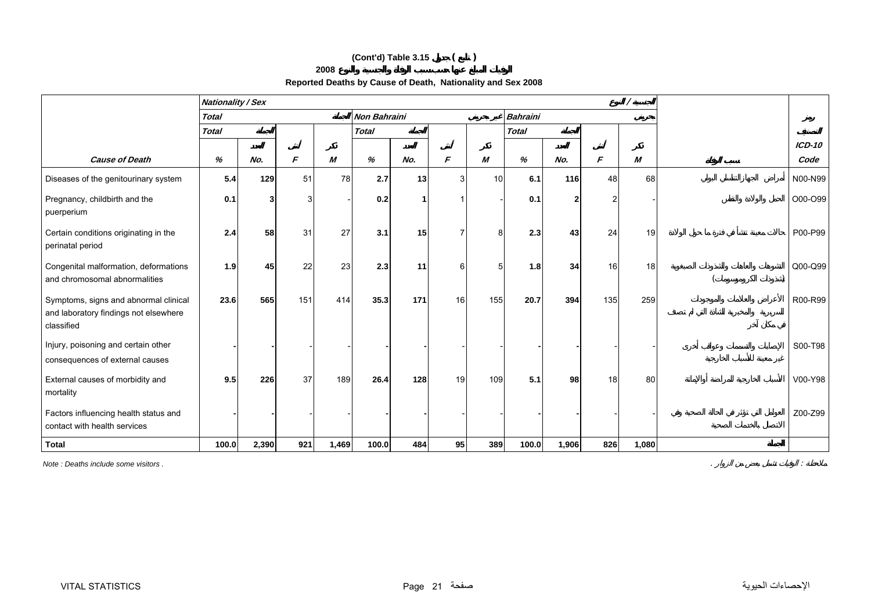# **(Cont'd) Table 3.15 ( )**

#### **2008**

# **Reported Deaths by Cause of Death, Nationality and Sex 2008**

|                                                                                              | <b>Nationality / Sex</b> |       |     |       |                     |     |    |                 |                 |       |     | $\prime$         |          |
|----------------------------------------------------------------------------------------------|--------------------------|-------|-----|-------|---------------------|-----|----|-----------------|-----------------|-------|-----|------------------|----------|
|                                                                                              | <b>Total</b>             |       |     |       | <b>Non Bahraini</b> |     |    |                 | <b>Bahraini</b> |       |     |                  |          |
|                                                                                              | <b>Total</b>             |       |     |       | <b>Total</b>        |     |    |                 | <b>Total</b>    |       |     |                  |          |
|                                                                                              |                          |       |     |       |                     |     |    |                 |                 |       |     |                  | $ICD-10$ |
| <b>Cause of Death</b>                                                                        | %                        | No.   | F   | M     | %                   | No. | F  | М               | %               | No.   | F   | $\boldsymbol{M}$ | Code     |
| Diseases of the genitourinary system                                                         | 5.4                      | 129   | 51  | 78    | 2.7                 | 13  | 3  | 10 <sup>1</sup> | 6.1             | 116   | 48  | 68               | N00-N99  |
| Pregnancy, childbirth and the<br>puerperium                                                  | 0.1                      |       | 3   |       | 0.2                 |     |    |                 | 0.1             |       |     |                  | O00-O99  |
| Certain conditions originating in the<br>perinatal period                                    | 2.4                      | 58    | 31  | 27    | 3.1                 | 15  |    | 8               | 2.3             | 43    | 24  | 19               | P00-P99  |
| Congenital malformation, deformations<br>and chromosomal abnormalities                       | 1.9                      | 45    | 22  | 23    | 2.3                 | 11  | 6  | 5               | 1.8             | 34    | 16  | 18               | Q00-Q99  |
| Symptoms, signs and abnormal clinical<br>and laboratory findings not elsewhere<br>classified | 23.6                     | 565   | 151 | 414   | 35.3                | 171 | 16 | 155             | 20.7            | 394   | 135 | 259              | R00-R99  |
| Injury, poisoning and certain other<br>consequences of external causes                       |                          |       |     |       |                     |     |    |                 |                 |       |     |                  | S00-T98  |
| External causes of morbidity and<br>mortality                                                | 9.5                      | 226   | 37  | 189   | 26.4                | 128 | 19 | 109             | 5.1             | 98    | 18  | 80               | V00-Y98  |
| Factors influencing health status and<br>contact with health services                        |                          |       |     |       |                     |     |    |                 |                 |       |     |                  | Z00-Z99  |
| <b>Total</b>                                                                                 | 100.0                    | 2,390 | 921 | 1,469 | 100.0               | 484 | 95 | 389             | 100.0           | 1,906 | 826 | 1,080            |          |

*Note : Deaths include some visitors .* . :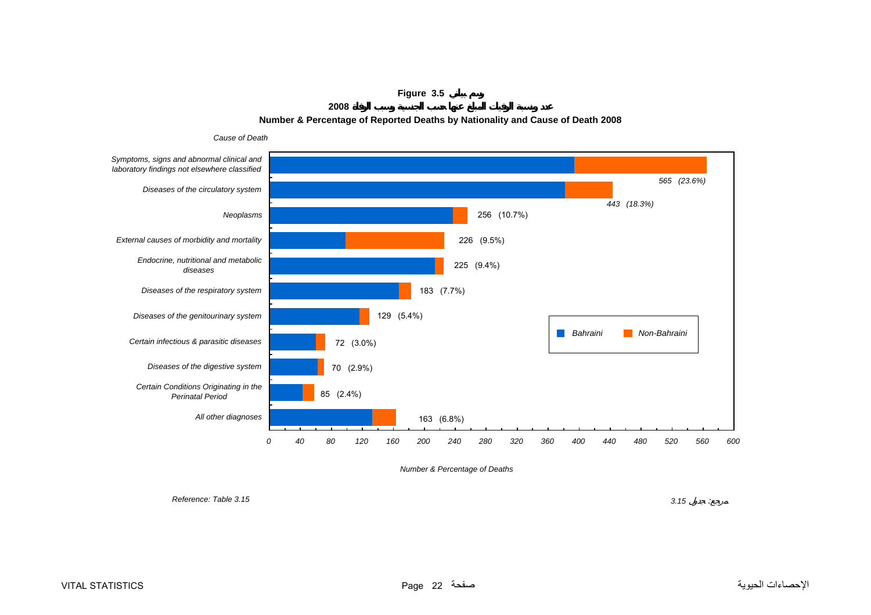**Figure 3.5**

**2008**

## **Number & Percentage of Reported Deaths by Nationality and Cause of Death 2008**

<span id="page-22-0"></span>

*Number & Percentage of Deaths*

*Reference: Table 3.15*

**3.15** : 3.15  $\sim$  7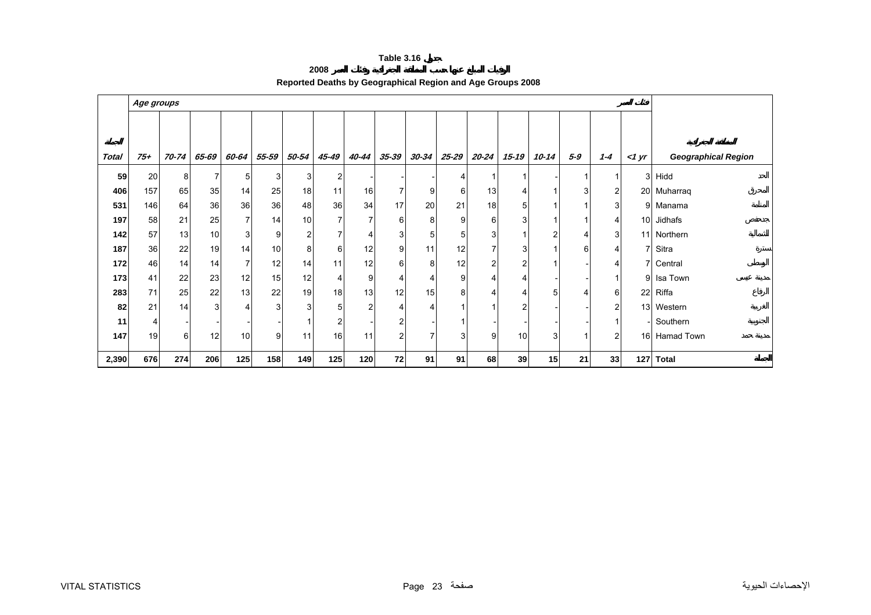|      | 140003.10                                                  |
|------|------------------------------------------------------------|
| 2008 |                                                            |
|      | Reported Deaths by Geographical Region and Age Groups 2008 |

<span id="page-23-0"></span>

|              |       | Age groups      |       |       |                |                |                 |                |                |                |                |           |       |           |                |                 |                 |                            |
|--------------|-------|-----------------|-------|-------|----------------|----------------|-----------------|----------------|----------------|----------------|----------------|-----------|-------|-----------|----------------|-----------------|-----------------|----------------------------|
|              |       |                 |       |       |                |                |                 |                |                |                |                |           |       |           |                |                 |                 |                            |
|              |       |                 |       |       |                |                |                 |                |                |                |                |           |       |           |                |                 |                 |                            |
| <b>Total</b> | $75+$ | 70-74           | 65-69 | 60-64 | 55-59          | 50-54          | 45-49           | 40-44          | 35-39          | 30-34          | 25-29          | $20 - 24$ | 15-19 | $10 - 14$ | $5 - 9$        | $1 - 4$         | $1 \text{ yr}$  | <b>Geographical Region</b> |
| 59           | 20    | 8               |       | 5     | 3              | $\mathbf{3}$   | 2               |                |                |                | 4              | 1         |       |           |                | 1               | 3               | Hidd                       |
| 406          | 157   | 65              | 35    | 14    | 25             | 18             | 11              | 16             | ⇁              | 9              | 6              | 13        | 4     | 1         | 3              | 2               |                 | 20 Muharraq                |
| 531          | 146   | 64              | 36    | 36    | 36             | 48             | 36              | 34             | 17             | 20             | 21             | 18        | 5     | 1         |                | 3               |                 | 9 Manama                   |
| 197          | 58    | 21              | 25    | 7     | 14             | 10             | $\overline{7}$  | $\overline{7}$ | $6 \mid$       | 8              | 9              | 6         | 3     |           |                | 4               | 10 <sup>1</sup> | Jidhafs                    |
| 142          | 57    | 13              | 10    | 3     | 9              | $\overline{2}$ | 7               | 4              | 3              | 5 <sup>1</sup> | 5              | 3         |       | 2         | $\overline{4}$ | $\overline{3}$  |                 | 11 Northern                |
| 187          | 36    | 22              | 19    | 14    | 10             | 8              | 6               | 12             | 9 <sub>l</sub> | 11             | 12             | 7         | 3     |           | 6              | 4               |                 | Sitra                      |
| 172          | 46    | 14 <sub>1</sub> | 14    | 7     | 12             | 14             | 11              | 12             | 6              | 8              | 12             | 2         | 2     |           |                | 4               |                 | 7 Central                  |
| 173          | 41    | 22              | 23    | 12    | 15             | 12             | 4               | 9              |                | 4              | 9              | 4         | 4     |           |                | 1               | 9               | Isa Town                   |
| 283          | 71    | 25              | 22    | 13    | 22             | 19             | 18 <sup>1</sup> | 13             | 12             | 15             | 8              | 4         |       | 5         | 4              | 6               | 22              | Riffa                      |
| 82           | 21    | 14              | 3     | 4     | 3 <sub>l</sub> | $\mathbf{3}$   | 5 <sup>1</sup>  | $\overline{a}$ |                |                | 1              | 1         | 2     |           |                | 2               |                 | 13 Western                 |
| 11           | 4     |                 |       |       |                |                | 2               |                | 2              |                |                |           |       |           |                | -1              |                 | Southern                   |
| 147          | 19    | 6               | 12    | 10    | 9              | 11             | 16              | 11             | $\overline{2}$ |                | 3 <sub>l</sub> | 9         | 10    | 3         |                | $\overline{c}$  |                 | 16 Hamad Town              |
| 2,390        | 676   | 274             | 206   | 125   | 158            | 149            | 125             | 120            | 72             | 91             | 91             | 68        | 39    | 15        | 21             | 33 <sup>1</sup> | 127             | <b>Total</b>               |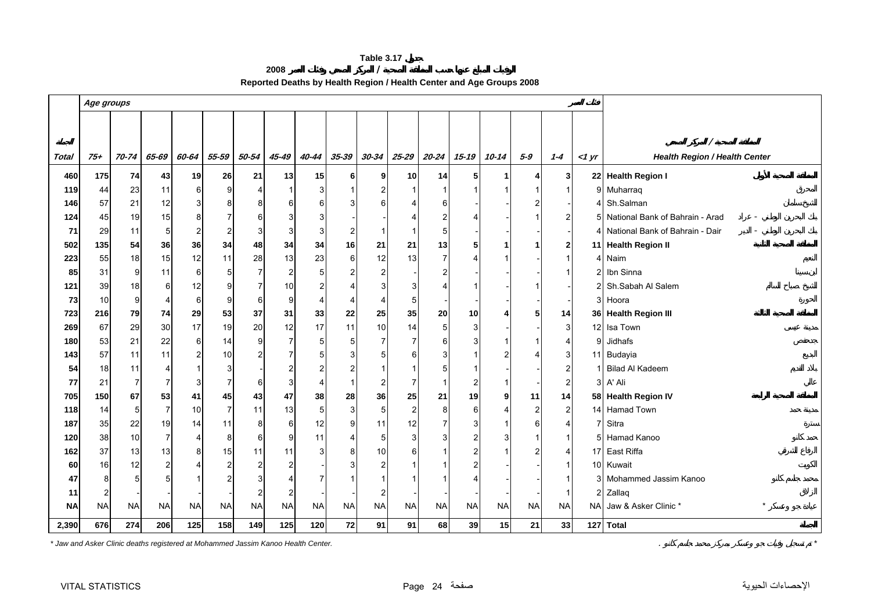**2008 / Reported Deaths by Health Region / Health Center and Age Groups 2008** 

<span id="page-24-0"></span>

|              |           | Age groups |                |                |                |                |                |                |                |                |           |                |                 |                |                |                  |              |                                      |
|--------------|-----------|------------|----------------|----------------|----------------|----------------|----------------|----------------|----------------|----------------|-----------|----------------|-----------------|----------------|----------------|------------------|--------------|--------------------------------------|
|              |           |            |                |                |                |                |                |                |                |                |           |                |                 |                |                |                  |              |                                      |
|              |           |            |                |                |                |                |                |                |                |                |           |                |                 |                |                |                  |              |                                      |
|              |           |            |                |                |                |                |                |                |                |                |           |                |                 |                | $5 - 9$        |                  |              | <b>Health Region / Health Center</b> |
| <b>Total</b> | 75+       | 70-74      | 65-69          | 60-64          | 55-59          | 50-54          | 45-49          | 40-44          | 35-39          | $30 - 34$      | $25 - 29$ | 20-24          | $15 - 19$       | 10-14          |                | $1 - 4$          | $<$ 1 yr     |                                      |
| 460          | 175       | 74         | 43             | 19             | 26             | 21             | 13             | 15             | 6 <sup>1</sup> | 9 <sub>l</sub> | 10        | 14             | 5               | $\mathbf 1$    | 4              | 3                |              | 22 Health Region I                   |
| 119          | 44        | 23         | 11             | 6              | 9              | 4              | 1              | 3              |                |                |           |                |                 |                |                | $\overline{1}$   |              | 9 Muharraq                           |
| 146          | 57        | 21         | 12             | 3              | 8              | 8              | 6              | 6              | 3              | 6              |           | 6              |                 |                | 2              |                  | 4            | Sh.Salman                            |
| 124          | 45        | 19         | 15             | 8              | 7              | 6              | 3              | 3              |                |                |           |                |                 |                |                | 2                |              | 5 National Bank of Bahrain - Arad    |
| 71           | 29        | 11         | 5              | $\overline{c}$ | $\overline{2}$ | 3              | 3              | 3              | 2              |                |           |                |                 |                |                |                  | 4            | National Bank of Bahrain - Dair      |
| 502          | 135       | 54         | 36             | 36             | 34             | 48             | 34             | 34             | 16             | 21             | 21        | 13             |                 | 1              |                | $\boldsymbol{2}$ |              | 11 Health Region II                  |
| 223          | 55        | 18         | 15             | 12             | 11             | 28             | 13             | 23             | 6              | 12             | 13        | $\overline{7}$ |                 |                |                | $\overline{1}$   |              | 4 Naim                               |
| 85           | 31        | 9          | 11             | 6              | 5              | $\overline{7}$ | $\overline{c}$ | 5              | 2              | 2              |           |                |                 |                |                | $\mathbf{1}$     | 2            | Ibn Sinna                            |
| 121          | 39        | 18         | 6              | 12             | 9              | $\overline{7}$ | 10             | $\overline{2}$ |                | 3              |           |                |                 |                |                |                  | 2            | Sh.Sabah Al Salem                    |
| 73           | 10        | 9          | 4              | 6              | 9              | 6              | 9              | $\overline{4}$ | 4              | 4              |           |                |                 |                |                |                  |              | 3 Hoora                              |
| 723          | 216       | 79         | 74             | 29             | 53             | 37             | 31             | 33             | 22             | 25             | 35        | 20             | 10 <sup>1</sup> | 4              | 5              | 14               |              | 36 Health Region III                 |
| 269          | 67        | 29         | 30             | 17             | 19             | 20             | 12             | 17             | 11             | 10             | 14        | 5              | 3               |                |                | 3                | 12           | Isa Town                             |
| 180          | 53        | 21         | 22             | 6              | 14             | 9              | $\overline{7}$ | 5              | 5              | 7              |           | 6              |                 |                |                | $\overline{4}$   | 9            | Jidhafs                              |
| 143          | 57        | 11         | 11             | $\overline{c}$ | $10$           | $\overline{c}$ | 7              | 5              | 3              | 5              | 6         |                |                 |                | 4              | 3                |              | 11 Budayia                           |
| 54           | 18        | 11         | 4              | -1             | 3              |                | $\overline{c}$ | $\overline{c}$ |                |                |           |                |                 |                |                | $\overline{2}$   |              | <b>Bilad Al Kadeem</b>               |
| 77           | 21        | 7          | 7              | 3              | 7              | 6              | 3              | $\overline{4}$ | $\mathbf 1$    | 2              |           |                |                 | -1             |                | $\overline{c}$   | 3            | A' Ali                               |
| 705          | 150       | 67         | 53             | 41             | 45             | 43             | 47             | 38             | 28             | 36             | 25        | 21             | 19              | 9              | 11             | 14               |              | 58 Health Region IV                  |
| 118          | 14        | 5          | 7              | 10             | $\overline{7}$ | 11             | 13             | 5              | 3              | 5              | 2         | 8              | 6               | $\overline{4}$ | $\overline{2}$ | $\overline{c}$   |              | 14 Hamad Town                        |
| 187          | 35        | 22         | 19             | 14             | 11             | 8              | 6              | 12             | 9              | 11             | 12        |                |                 |                | 6              | $\overline{4}$   | 7            | Sitra                                |
| 120          | 38        | 10         | $\overline{7}$ | $\overline{4}$ | 8              | 6              | 9              | 11             | 4              | 5              |           |                |                 | 3              |                | $\overline{1}$   |              | 5 Hamad Kanoo                        |
| 162          | 37        | 13         | 13             | 8              | 15             | 11             | 11             | 3              | 8              | 10             |           |                |                 |                | $\overline{2}$ | $\overline{4}$   | 17           | East Riffa                           |
| 60           | 16        | 12         | 2              | $\overline{4}$ | $\overline{2}$ | $\overline{2}$ | $\overline{2}$ |                |                | $\overline{2}$ |           |                |                 |                |                | $\mathbf{1}$     |              | 10 Kuwait                            |
| 47           | 8         | 5          | 5              | -1             | $\overline{2}$ | 3              | 4              | $\overline{7}$ |                |                |           |                |                 |                |                | $\mathbf{1}$     | 3            | Mohammed Jassim Kanoo                |
| 11           | 2         |            |                |                |                | $\overline{2}$ | 2              |                |                | 2              |           |                |                 |                |                | $\overline{1}$   | $\mathbf{2}$ | Zallaq                               |
| <b>NA</b>    | <b>NA</b> | <b>NA</b>  | <b>NA</b>      | <b>NA</b>      | <b>NA</b>      | <b>NA</b>      | <b>NA</b>      | <b>NA</b>      | <b>NA</b>      | <b>NA</b>      | <b>NA</b> | <b>NA</b>      | <b>NA</b>       | <b>NA</b>      | <b>NA</b>      | <b>NA</b>        | <b>NA</b>    | $\star$<br>Jaw & Asker Clinic *      |
| 2,390        | 676       | 274        | 206            | 125            | 158            | 149            | 125            | 120            | 72             | 91             | 91        | 68             | 39              | 15             | 21             | 33               |              | 127 Total                            |
|              |           |            |                |                |                |                |                |                |                |                |           |                |                 |                |                |                  |              |                                      |

*\* Jaw and Asker Clinic deaths registered at Mohammed Jassim Kanoo Health Center.* . *\**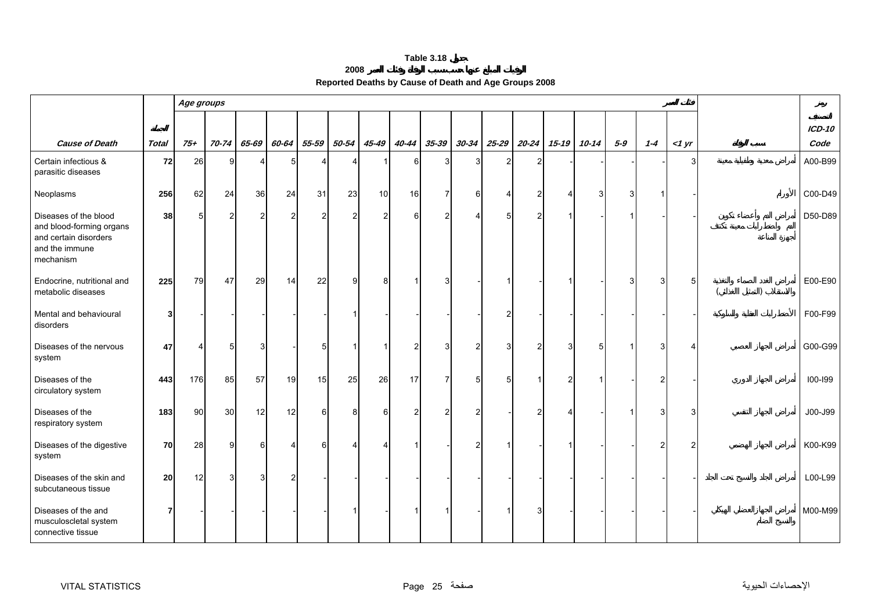| 2008 |
|------|
|------|

| Reported Deaths by Cause of Death and Age Groups 2008 |  |  |
|-------------------------------------------------------|--|--|
|                                                       |  |  |

<span id="page-25-0"></span>

|                                                                                                           |              |          | Age groups     |                |       |                |                |                |                |                |           |           |                |           |           |             |         |          |          |
|-----------------------------------------------------------------------------------------------------------|--------------|----------|----------------|----------------|-------|----------------|----------------|----------------|----------------|----------------|-----------|-----------|----------------|-----------|-----------|-------------|---------|----------|----------|
|                                                                                                           |              |          |                |                |       |                |                |                |                |                |           |           |                |           |           |             |         |          | $ICD-10$ |
| <b>Cause of Death</b>                                                                                     | <b>Total</b> | $75 +$   | 70-74          | 65-69          | 60-64 | 55-59          | 50-54          | 45-49          | 40-44          | $35 - 39$      | $30 - 34$ | $25 - 29$ | 20-24          | $15 - 19$ | $10 - 14$ | $5-9$       | $1 - 4$ | $<$ 1 yr | Code     |
| Certain infectious &<br>parasitic diseases                                                                | 72           | 26       | 9              | 4              | 5     | ⊿              | Δ              |                | 6              | 3              |           | 2         | $\overline{2}$ |           |           |             |         | 3        | A00-B99  |
| Neoplasms                                                                                                 | 256          | 62       | 24             | 36             | 24    | 31             | 23             | 10             | 16             | $\overline{7}$ | 6         | Δ         | $\overline{2}$ | 4         | 3         | 3           |         |          | C00-D49  |
| Diseases of the blood<br>and blood-forming organs<br>and certain disorders<br>and the immune<br>mechanism | 38           | 5        | $\overline{2}$ | $\overline{c}$ | 2     | $\overline{2}$ | $\overline{2}$ | $\overline{2}$ | 6              | $\overline{c}$ |           | 5         | $\overline{2}$ |           |           | 1           |         |          | D50-D89  |
| Endocrine, nutritional and<br>metabolic diseases                                                          | 225          | 79       | 47             | 29             | 14    | 22             | g              | 8              |                | 3              |           |           |                |           |           | 3           |         | 5        | E00-E90  |
| Mental and behavioural<br>disorders                                                                       | 3            |          |                |                |       |                |                |                |                |                |           | 2         |                |           |           |             |         |          | F00-F99  |
| Diseases of the nervous<br>system                                                                         | 47           | $\Delta$ | 5              | 3              |       | 5              |                |                | $\overline{2}$ | 3              |           | 3         | $\overline{2}$ | 3         | 5         | $\mathbf 1$ |         | Δ        | G00-G99  |
| Diseases of the<br>circulatory system                                                                     | 443          | 176      | 85             | 57             | 19    | 15             | 25             | 26             | 17             | $\overline{7}$ |           | 5         |                | 2         |           |             |         |          | 100-199  |
| Diseases of the<br>respiratory system                                                                     | 183          | 90       | 30             | 12             | 12    | 6              | 8              | 6              | 2              | $\overline{2}$ |           |           | 2              |           |           |             |         | З        | J00-J99  |
| Diseases of the digestive<br>system                                                                       | 70           | 28       | 9              | $6 \,$         |       | 6              | Δ              |                |                |                |           |           |                |           |           |             |         | 2        | K00-K99  |
| Diseases of the skin and<br>subcutaneous tissue                                                           | 20           | 12       | 3              | $\mathbf{3}$   |       |                |                |                |                |                |           |           |                |           |           |             |         |          | L00-L99  |
| Diseases of the and<br>musculoscletal system<br>connective tissue                                         | 7            |          |                |                |       |                |                |                |                |                |           |           |                |           |           |             |         |          | M00-M99  |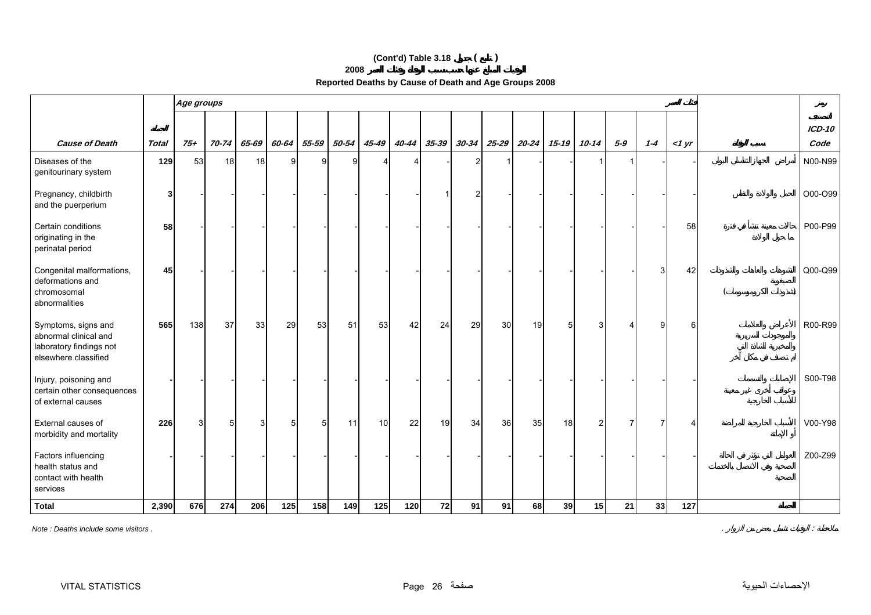# **(Cont'd) Table 3.18 ( )**

**2008**

| Reported Deaths by Cause of Death and Age Groups 2008 |  |  |
|-------------------------------------------------------|--|--|
|                                                       |  |  |

|                                                                                                 |              | Age groups |       |       |       |       |       |       |                       |           |           |           |           |           |                |       |         |       |                       |
|-------------------------------------------------------------------------------------------------|--------------|------------|-------|-------|-------|-------|-------|-------|-----------------------|-----------|-----------|-----------|-----------|-----------|----------------|-------|---------|-------|-----------------------|
| <b>Cause of Death</b>                                                                           | <b>Total</b> | $75+$      | 70-74 | 65-69 | 60-64 | 55-59 | 50-54 | 45-49 | 40-44                 | $35 - 39$ | $30 - 34$ | $25 - 29$ | $20 - 24$ | $15 - 19$ | $10 - 14$      | $5-9$ | $1 - 4$ | <1 yr | <b>ICD-10</b><br>Code |
| Diseases of the<br>genitourinary system                                                         | 129          | 53         | 18    | 18    | 9     | 9     | 9     |       | $\boldsymbol{\Delta}$ |           | 2         |           |           |           |                |       |         |       | N00-N99               |
| Pregnancy, childbirth<br>and the puerperium                                                     | 3            |            |       |       |       |       |       |       |                       |           |           |           |           |           |                |       |         |       | O00-O99               |
| Certain conditions<br>originating in the<br>perinatal period                                    | 58           |            |       |       |       |       |       |       |                       |           |           |           |           |           |                |       |         | 58    | P00-P99               |
| Congenital malformations,<br>deformations and<br>chromosomal<br>abnormalities                   | 45           |            |       |       |       |       |       |       |                       |           |           |           |           |           |                |       | З       | 42    | Q00-Q99               |
| Symptoms, signs and<br>abnormal clinical and<br>laboratory findings not<br>elsewhere classified | 565          | 138        | 37    | 33    | 29    | 53    | 51    | 53    | 42                    | 24        | 29        | 30        | 19        | 5         | 3              |       |         | 6     | R00-R99               |
| Injury, poisoning and<br>certain other consequences<br>of external causes                       |              |            |       |       |       |       |       |       |                       |           |           |           |           |           |                |       |         |       | S00-T98               |
| External causes of<br>morbidity and mortality                                                   | 226          | 3          | 5     |       | 5     | 5     | 11    | 10    | 22                    | 19        | 34        | 36        | 35        | 18        | $\overline{2}$ |       |         |       | V00-Y98               |
| Factors influencing<br>health status and<br>contact with health<br>services                     |              |            |       |       |       |       |       |       |                       |           |           |           |           |           |                |       |         |       | Z00-Z99               |
| <b>Total</b>                                                                                    | 2,390        | 676        | 274   | 206   | 125   | 158   | 149   | 125   | 120                   | 72        | 91        | 91        | 68        | 39        | 15             | 21    | 33      | 127   |                       |

*Note : Deaths include some visitors .* . :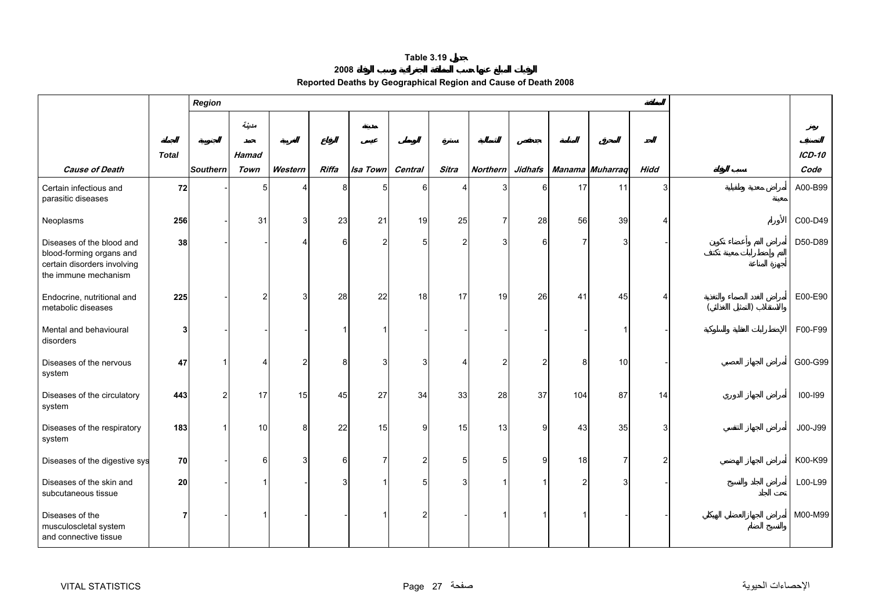#### **2008**

| Reported Deaths by Geographical Region and Cause of Death 2008 |  |  |  |
|----------------------------------------------------------------|--|--|--|
|----------------------------------------------------------------|--|--|--|

<span id="page-27-0"></span>

|                                                                                                              |              | Region          |              |         |        |                |                |                |                 |               |     |                 |                |           |           |
|--------------------------------------------------------------------------------------------------------------|--------------|-----------------|--------------|---------|--------|----------------|----------------|----------------|-----------------|---------------|-----|-----------------|----------------|-----------|-----------|
|                                                                                                              |              |                 | مدينة        |         |        |                |                |                |                 |               |     |                 |                |           |           |
|                                                                                                              | <b>Total</b> |                 | <b>Hamad</b> |         |        |                |                |                |                 |               |     |                 |                |           | $ICD-10$  |
| <b>Cause of Death</b>                                                                                        |              | <b>Southern</b> | Town         | Western | Riffa  | Isa Town       | Central        | Sitra          | <b>Northern</b> | Jidhafs       |     | Manama Muharraq | <b>Hidd</b>    |           | Code      |
| Certain infectious and<br>parasitic diseases                                                                 | 72           |                 | 5            |         | 8      | 5              | 6              |                | 3               | 6             | 17  | 11              | $\overline{3}$ |           | A00-B99   |
| Neoplasms                                                                                                    | 256          |                 | 31           | 3       | 23     | 21             | 19             | 25             | $\overline{7}$  | 28            | 56  | 39              |                |           | $COO-D49$ |
| Diseases of the blood and<br>blood-forming organs and<br>certain disorders involving<br>the immune mechanism | 38           |                 |              | Δ       | 6      | $\overline{2}$ | 5              | $\overline{2}$ | 3               | 6             | 7   | 3               |                |           | D50-D89   |
| Endocrine, nutritional and<br>metabolic diseases                                                             | 225          |                 | 2            | 3       | 28     | 22             | 18             | 17             | 19              | 26            | 41  | 45              |                | $\lambda$ | E00-E90   |
| Mental and behavioural<br>disorders                                                                          | 3            |                 |              |         |        |                |                |                |                 |               |     |                 |                |           | F00-F99   |
| Diseases of the nervous<br>system                                                                            | 47           |                 | 4            | 2       | 8      | 3              | 3              | Δ              | $\overline{2}$  | $\mathcal{P}$ | 8   | 10              |                |           | G00-G99   |
| Diseases of the circulatory<br>system                                                                        | 443          | $\overline{2}$  | 17           | 15      | 45     | 27             | 34             | 33             | 28              | 37            | 104 | 87              | 14             |           | 100-199   |
| Diseases of the respiratory<br>system                                                                        | 183          |                 | 10           | 8       | 22     | 15             | 9              | 15             | 13              | 9             | 43  | 35              | 3              |           | J00-J99   |
| Diseases of the digestive sys                                                                                | 70           |                 | 6            | 3       | $6 \,$ | 7              | $\overline{a}$ | 5              | 5               | $\mathbf{q}$  | 18  | $\overline{7}$  | $\mathfrak{p}$ |           | K00-K99   |
| Diseases of the skin and<br>subcutaneous tissue                                                              | 20           |                 |              |         | 3      |                | 5 <sup>1</sup> | 3              |                 |               | 2   |                 |                |           | L00-L99   |
| Diseases of the<br>musculoscletal system<br>and connective tissue                                            | 7            |                 |              |         |        |                | 2              |                |                 |               |     |                 |                |           | M00-M99   |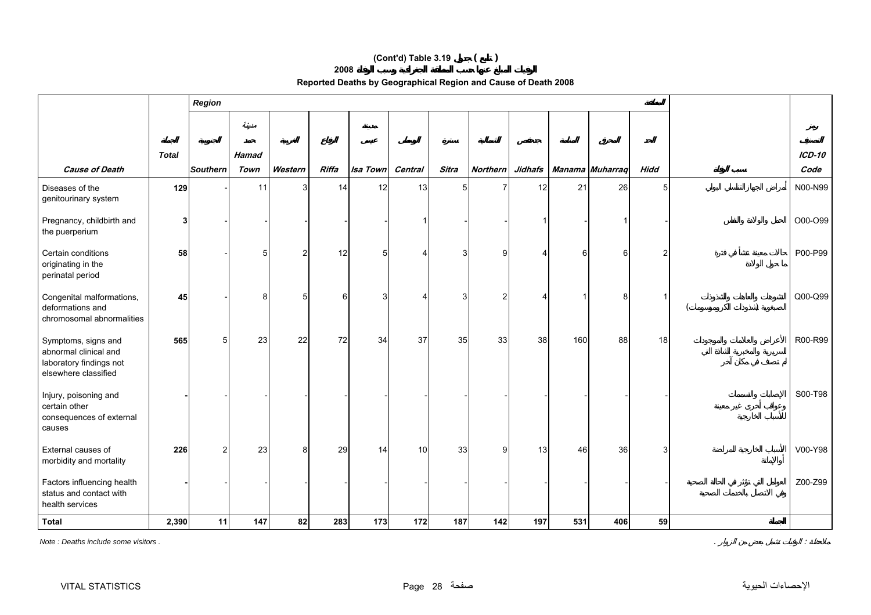# **(Cont'd) Table 3.19 ( )**

**2008**

| Reported Deaths by Geographical Region and Cause of Death 2008 |  |  |  |
|----------------------------------------------------------------|--|--|--|
|----------------------------------------------------------------|--|--|--|

|                                                                                                 |              | Region         |              |               |              |          |         |                |                 |                |     |                 |             |               |
|-------------------------------------------------------------------------------------------------|--------------|----------------|--------------|---------------|--------------|----------|---------|----------------|-----------------|----------------|-----|-----------------|-------------|---------------|
|                                                                                                 |              |                | مدينة        |               |              |          |         |                |                 |                |     |                 |             |               |
|                                                                                                 | <b>Total</b> |                | <b>Hamad</b> |               |              |          |         |                |                 |                |     |                 |             | <b>ICD-10</b> |
| <b>Cause of Death</b>                                                                           |              | Southern       | Town         | Western       | <b>Riffa</b> | Isa Town | Central | Sitra          | <b>Northern</b> | <b>Jidhafs</b> |     | Manama Muharraq | <b>Hidd</b> | Code          |
| Diseases of the<br>genitourinary system                                                         | 129          |                | 11           | 3             | 14           | 12       | 13      | 5 <sub>5</sub> |                 | 12             | 21  | 26              | 5           | N00-N99       |
| Pregnancy, childbirth and<br>the puerperium                                                     | 3            |                |              |               |              |          |         |                |                 |                |     |                 |             | O00-O99       |
| Certain conditions<br>originating in the<br>perinatal period                                    | 58           |                | г.           | $\mathcal{P}$ | 12           | 5        | Δ.      | 3              | g               |                |     | 6               |             | P00-P99       |
| Congenital malformations,<br>deformations and<br>chromosomal abnormalities                      | 45           |                | 8            | 5             | 6            | 3        | 4       | 3              | $\overline{2}$  | Δ              |     | 8               |             | $Q00-Q99$     |
| Symptoms, signs and<br>abnormal clinical and<br>laboratory findings not<br>elsewhere classified | 565          | 5              | 23           | 22            | 72           | 34       | 37      | 35             | 33              | 38             | 160 | 88              | 18          | R00-R99       |
| Injury, poisoning and<br>certain other<br>consequences of external<br>causes                    |              |                |              |               |              |          |         |                |                 |                |     |                 |             | S00-T98       |
| External causes of<br>morbidity and mortality                                                   | 226          | $\overline{2}$ | 23           | 8             | 29           | 14       | 10      | 33             | 9 <sub>l</sub>  | 13             | 46  | 36              | 3           | V00-Y98       |
| Factors influencing health<br>status and contact with<br>health services                        |              |                |              |               |              |          |         |                |                 |                |     |                 |             | Z00-Z99       |
| <b>Total</b>                                                                                    | 2,390        | 11             | 147          | 82            | 283          | 173      | 172     | 187            | 142             | 197            | 531 | 406             | 59          |               |

*Note : Deaths include some visitors .* . :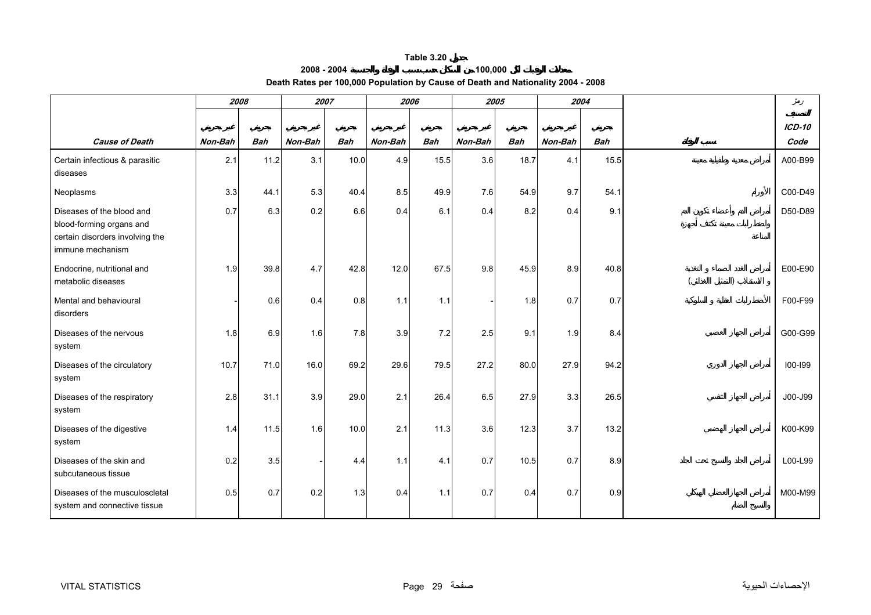#### **2008 - 2004 100,000 Death Rates per 100,000 Population by Cause of Death and Nationality 2004 - 2008**

<span id="page-29-0"></span>

|                                                                                                              | 2008    |            |         | 2007       | 2006    |            |         | 2005       |         | 2004       | دمغر        |
|--------------------------------------------------------------------------------------------------------------|---------|------------|---------|------------|---------|------------|---------|------------|---------|------------|-------------|
|                                                                                                              |         |            |         |            |         |            |         |            |         |            | $ICD-10$    |
| <b>Cause of Death</b>                                                                                        | Non-Bah | <b>Bah</b> | Non-Bah | <b>Bah</b> | Non-Bah | <b>Bah</b> | Non-Bah | <b>Bah</b> | Non-Bah | <b>Bah</b> | Code        |
| Certain infectious & parasitic<br>diseases                                                                   | 2.1     | 11.2       | 3.1     | 10.0       | 4.9     | 15.5       | 3.6     | 18.7       | 4.1     | 15.5       | A00-B99     |
| Neoplasms                                                                                                    | 3.3     | 44.1       | 5.3     | 40.4       | 8.5     | 49.9       | 7.6     | 54.9       | 9.7     | 54.1       | C00-D49     |
| Diseases of the blood and<br>blood-forming organs and<br>certain disorders involving the<br>immune mechanism | 0.7     | 6.3        | 0.2     | 6.6        | 0.4     | 6.1        | 0.4     | 8.2        | 0.4     | 9.1        | D50-D89     |
| Endocrine, nutritional and<br>metabolic diseases                                                             | 1.9     | 39.8       | 4.7     | 42.8       | 12.0    | 67.5       | 9.8     | 45.9       | 8.9     | 40.8       | E00-E90     |
| Mental and behavioural<br>disorders                                                                          |         | 0.6        | 0.4     | 0.8        | 1.1     | 1.1        |         | 1.8        | 0.7     | 0.7        | F00-F99     |
| Diseases of the nervous<br>system                                                                            | 1.8     | 6.9        | 1.6     | 7.8        | 3.9     | 7.2        | 2.5     | 9.1        | 1.9     | 8.4        | G00-G99     |
| Diseases of the circulatory<br>system                                                                        | 10.7    | 71.0       | 16.0    | 69.2       | 29.6    | 79.5       | 27.2    | 80.0       | 27.9    | 94.2       | $100 - 199$ |
| Diseases of the respiratory<br>system                                                                        | 2.8     | 31.1       | 3.9     | 29.0       | 2.1     | 26.4       | 6.5     | 27.9       | 3.3     | 26.5       | J00-J99     |
| Diseases of the digestive<br>system                                                                          | 1.4     | 11.5       | 1.6     | 10.0       | 2.1     | 11.3       | 3.6     | 12.3       | 3.7     | 13.2       | K00-K99     |
| Diseases of the skin and<br>subcutaneous tissue                                                              | 0.2     | 3.5        |         | 4.4        | 1.1     | 4.1        | 0.7     | 10.5       | 0.7     | 8.9        | L00-L99     |
| Diseases of the musculoscletal<br>system and connective tissue                                               | 0.5     | 0.7        | 0.2     | 1.3        | 0.4     | 1.1        | 0.7     | 0.4        | 0.7     | 0.9        | M00-M99     |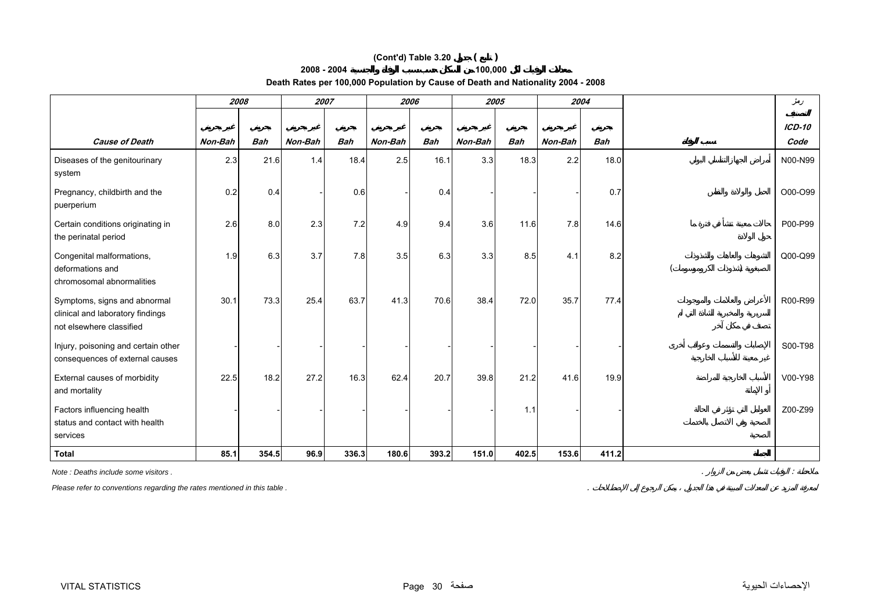## **100,000 (Cont'd) Table 3.20 ( )**

### **2008 - 2004**

**Death Rates per 100,000 Population by Cause of Death and Nationality 2004 - 2008** 

|                                                                                              | 2008    |            |         | 2007       | 2006    |            |         | 2005       |         | 2004       | دمغر          |
|----------------------------------------------------------------------------------------------|---------|------------|---------|------------|---------|------------|---------|------------|---------|------------|---------------|
|                                                                                              |         |            |         |            |         |            |         |            |         |            | <b>ICD-10</b> |
| <b>Cause of Death</b>                                                                        | Non-Bah | <b>Bah</b> | Non-Bah | <b>Bah</b> | Non-Bah | <b>Bah</b> | Non-Bah | <b>Bah</b> | Non-Bah | <b>Bah</b> | Code          |
| Diseases of the genitourinary<br>system                                                      | 2.3     | 21.6       | 1.4     | 18.4       | 2.5     | 16.1       | 3.3     | 18.3       | 2.2     | 18.0       | N00-N99       |
| Pregnancy, childbirth and the<br>puerperium                                                  | 0.2     | 0.4        |         | 0.6        |         | 0.4        |         |            |         | 0.7        | O00-O99       |
| Certain conditions originating in<br>the perinatal period                                    | 2.6     | 8.0        | 2.3     | 7.2        | 4.9     | 9.4        | 3.6     | 11.6       | 7.8     | 14.6       | P00-P99       |
| Congenital malformations,<br>deformations and<br>chromosomal abnormalities                   | 1.9     | 6.3        | 3.7     | 7.8        | 3.5     | 6.3        | 3.3     | 8.5        | 4.1     | 8.2        | Q00-Q99       |
| Symptoms, signs and abnormal<br>clinical and laboratory findings<br>not elsewhere classified | 30.1    | 73.3       | 25.4    | 63.7       | 41.3    | 70.6       | 38.4    | 72.0       | 35.7    | 77.4       | R00-R99       |
| Injury, poisoning and certain other<br>consequences of external causes                       |         |            |         |            |         |            |         |            |         |            | S00-T98       |
| External causes of morbidity<br>and mortality                                                | 22.5    | 18.2       | 27.2    | 16.3       | 62.4    | 20.7       | 39.8    | 21.2       | 41.6    | 19.9       | V00-Y98       |
| Factors influencing health<br>status and contact with health<br>services                     |         |            |         |            |         |            |         | 1.1        |         |            | Z00-Z99       |
| <b>Total</b>                                                                                 | 85.1    | 354.5      | 96.9    | 336.3      | 180.6   | 393.2      | 151.0   | 402.5      | 153.6   | 411.2      |               |

*Note : Deaths include some visitors .* . :

*Please refer to conventions regarding the rates mentioned in this table .* .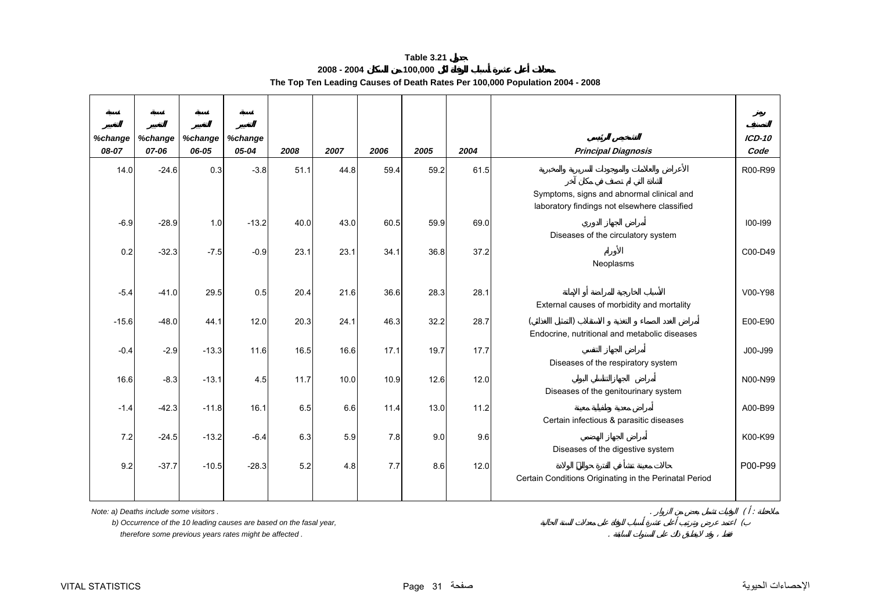<span id="page-31-0"></span>

| %change | %change | %change | %change |      |      |      |      |      |                                                                                           | $ICD-10$ |
|---------|---------|---------|---------|------|------|------|------|------|-------------------------------------------------------------------------------------------|----------|
| 08-07   | 07-06   | 06-05   | 05-04   | 2008 | 2007 | 2006 | 2005 | 2004 | <b>Principal Diagnosis</b>                                                                | Code     |
| 14.0    | $-24.6$ | 0.3     | $-3.8$  | 51.1 | 44.8 | 59.4 | 59.2 | 61.5 |                                                                                           | R00-R99  |
|         |         |         |         |      |      |      |      |      | Symptoms, signs and abnormal clinical and<br>laboratory findings not elsewhere classified |          |
| $-6.9$  | $-28.9$ | 1.0     | $-13.2$ | 40.0 | 43.0 | 60.5 | 59.9 | 69.0 | Diseases of the circulatory system                                                        | 100-199  |
| 0.2     | $-32.3$ | $-7.5$  | $-0.9$  | 23.1 | 23.1 | 34.1 | 36.8 | 37.2 | Neoplasms                                                                                 | C00-D49  |
| $-5.4$  | $-41.0$ | 29.5    | 0.5     | 20.4 | 21.6 | 36.6 | 28.3 | 28.1 | External causes of morbidity and mortality                                                | V00-Y98  |
| $-15.6$ | $-48.0$ | 44.1    | 12.0    | 20.3 | 24.1 | 46.3 | 32.2 | 28.7 | Endocrine, nutritional and metabolic diseases                                             | E00-E90  |
| $-0.4$  | $-2.9$  | $-13.3$ | 11.6    | 16.5 | 16.6 | 17.1 | 19.7 | 17.7 | Diseases of the respiratory system                                                        | J00-J99  |
| 16.6    | $-8.3$  | $-13.1$ | 4.5     | 11.7 | 10.0 | 10.9 | 12.6 | 12.0 | Diseases of the genitourinary system                                                      | N00-N99  |
| $-1.4$  | $-42.3$ | $-11.8$ | 16.1    | 6.5  | 6.6  | 11.4 | 13.0 | 11.2 | Certain infectious & parasitic diseases                                                   | A00-B99  |
| 7.2     | $-24.5$ | $-13.2$ | $-6.4$  | 6.3  | 5.9  | 7.8  | 9.0  | 9.6  | Diseases of the digestive system                                                          | K00-K99  |
| 9.2     | $-37.7$ | $-10.5$ | $-28.3$ | 5.2  | 4.8  | 7.7  | 8.6  | 12.0 | Certain Conditions Originating in the Perinatal Period                                    | P00-P99  |

**Table 3.212008 - 2004 100,000 The Top Ten Leading Causes of Death Rates Per 100,000 Population 2004 - 2008**

*Note: a) Deaths include some visitors .* . ( :

 *b) Occurrence of the 10 leading causes are based on the fasal year,* (

 *therefore some previous years rates might be affected .* .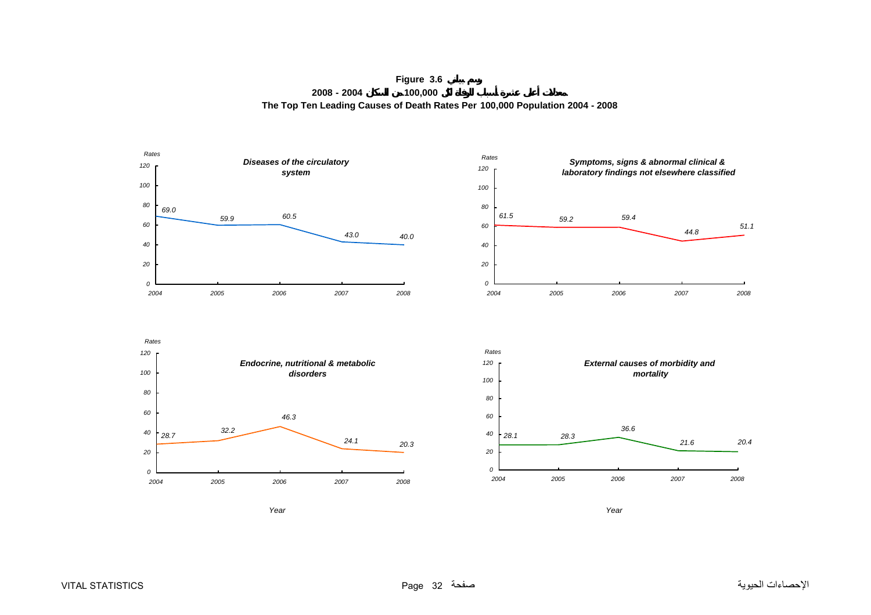**Figure 3.6 2008 - 2004 100,000 The Top Ten Leading Causes of Death Rates Per 100,000 Population 2004 - 2008**

<span id="page-32-0"></span>







*Year*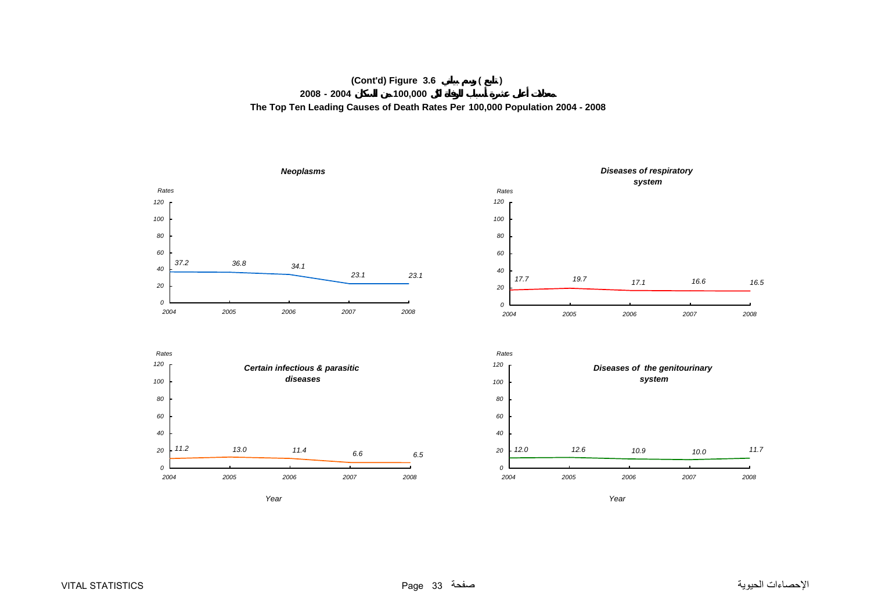#### **(Cont'd) Figure 3.6 ( ) 2008 - 2004 100,000 The Top Ten Leading Causes of Death Rates Per 100,000 Population 2004 - 2008**

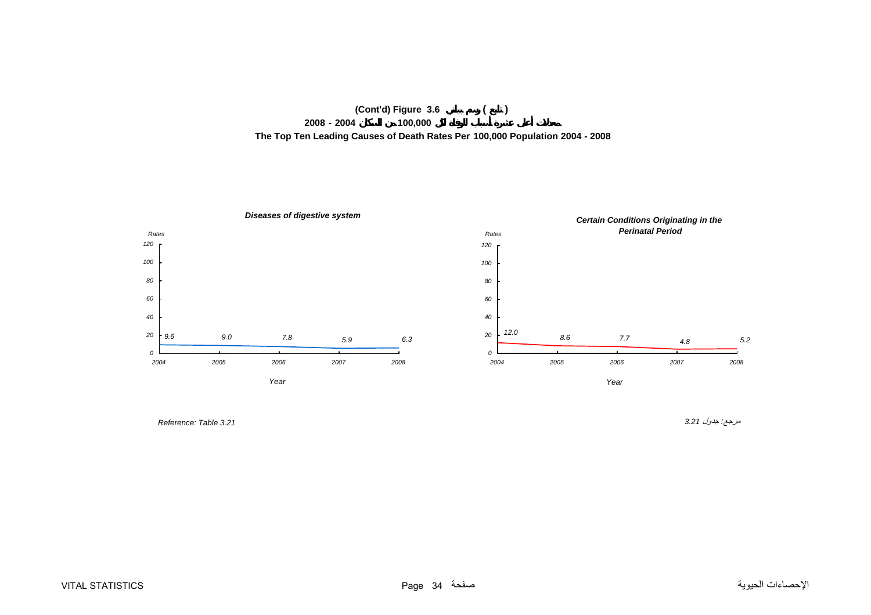



مرجع*:* جدول *3.21 3.21 Table :Reference*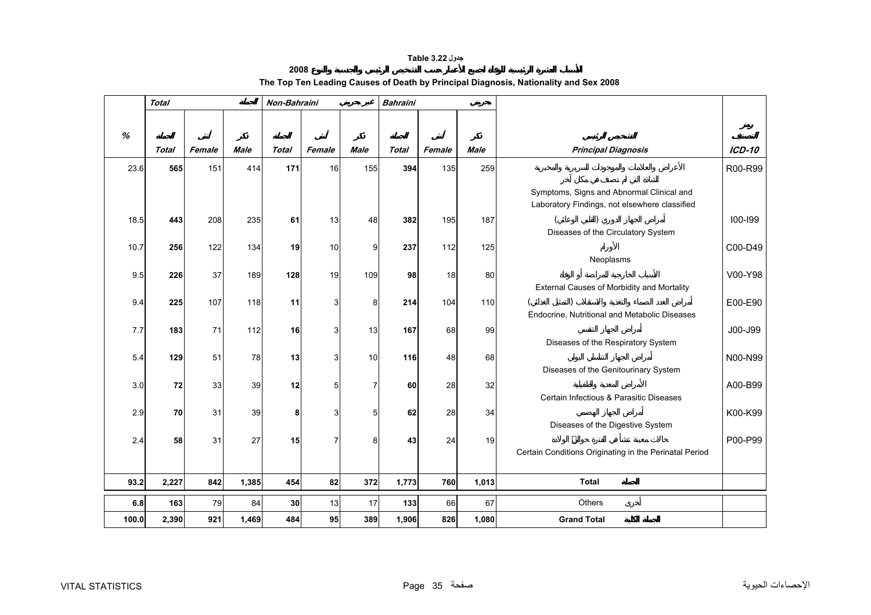## **جدول 3.22 Table**

# **2008The Top Ten Leading Causes of Death by Principal Diagnosis, Nationality and Sex 2008**

<span id="page-35-0"></span>

|       | <b>Total</b> |        |             | Non-Bahraini |        |                | <b>Bahraini</b> |        |             |                                                                                            |               |
|-------|--------------|--------|-------------|--------------|--------|----------------|-----------------|--------|-------------|--------------------------------------------------------------------------------------------|---------------|
|       |              |        |             |              |        |                |                 |        |             |                                                                                            |               |
| %     |              |        |             |              |        |                |                 |        |             |                                                                                            |               |
|       | <b>Total</b> | Female | <b>Male</b> | <b>Total</b> | Female | <b>Male</b>    | <b>Total</b>    | Female | <b>Male</b> | <b>Principal Diagnosis</b>                                                                 | <b>ICD-10</b> |
| 23.6  | 565          | 151    | 414         | 171          | 16     | 155            | 394             | 135    | 259         |                                                                                            | R00-R99       |
|       |              |        |             |              |        |                |                 |        |             | Symptoms, Signs and Abnormal Clinical and<br>Laboratory Findings, not elsewhere classified |               |
| 18.5  | 443          | 208    | 235         | 61           | 13     | 48             | 382             | 195    | 187         |                                                                                            | 100-199       |
|       |              |        |             |              |        |                |                 |        |             | Diseases of the Circulatory System                                                         |               |
| 10.7  | 256          | 122    | 134         | 19           | 10     | 9              | 237             | 112    | 125         |                                                                                            | C00-D49       |
|       |              |        |             |              |        |                |                 |        |             | Neoplasms                                                                                  |               |
| 9.5   | 226          | 37     | 189         | 128          | 19     | 109            | 98              | 18     | 80          | External Causes of Morbidity and Mortality                                                 | V00-Y98       |
| 9.4   | 225          | 107    | 118         | 11           | 3      | 8              | 214             | 104    | 110         |                                                                                            | E00-E90       |
|       |              |        |             |              |        |                |                 |        |             | Endocrine, Nutritional and Metabolic Diseases                                              |               |
| 7.7   | 183          | 71     | 112         | 16           | 3      | 13             | 167             | 68     | 99          |                                                                                            | J00-J99       |
|       |              |        |             |              |        |                |                 |        |             | Diseases of the Respiratory System                                                         |               |
| 5.4   | 129          | 51     | 78          | 13           | 3      | 10             | 116             | 48     | 68          |                                                                                            | N00-N99       |
|       |              |        |             |              |        |                |                 |        |             | Diseases of the Genitourinary System                                                       |               |
| 3.0   | 72           | 33     | 39          | 12           | 5      | $\overline{7}$ | 60              | 28     | 32          | Certain Infectious & Parasitic Diseases                                                    | A00-B99       |
|       |              | 31     | 39          |              | 3      |                | 62              | 28     |             |                                                                                            |               |
| 2.9   | 70           |        |             | 8            |        | 5              |                 |        | 34          | Diseases of the Digestive System                                                           | K00-K99       |
| 2.4   | 58           | 31     | 27          | 15           | 7      | 8              | 43              | 24     | 19          |                                                                                            | P00-P99       |
|       |              |        |             |              |        |                |                 |        |             | Certain Conditions Originating in the Perinatal Period                                     |               |
|       |              |        |             |              |        |                |                 |        |             |                                                                                            |               |
| 93.2  | 2,227        | 842    | 1,385       | 454          | 82     | 372            | 1,773           | 760    | 1,013       | <b>Total</b>                                                                               |               |
| 6.8   | 163          | 79     | 84          | 30           | 13     | 17             | 133             | 66     | 67          | <b>Others</b>                                                                              |               |
| 100.0 | 2,390        | 921    | 1,469       | 484          | 95     | 389            | 1,906           | 826    | 1,080       | <b>Grand Total</b>                                                                         |               |